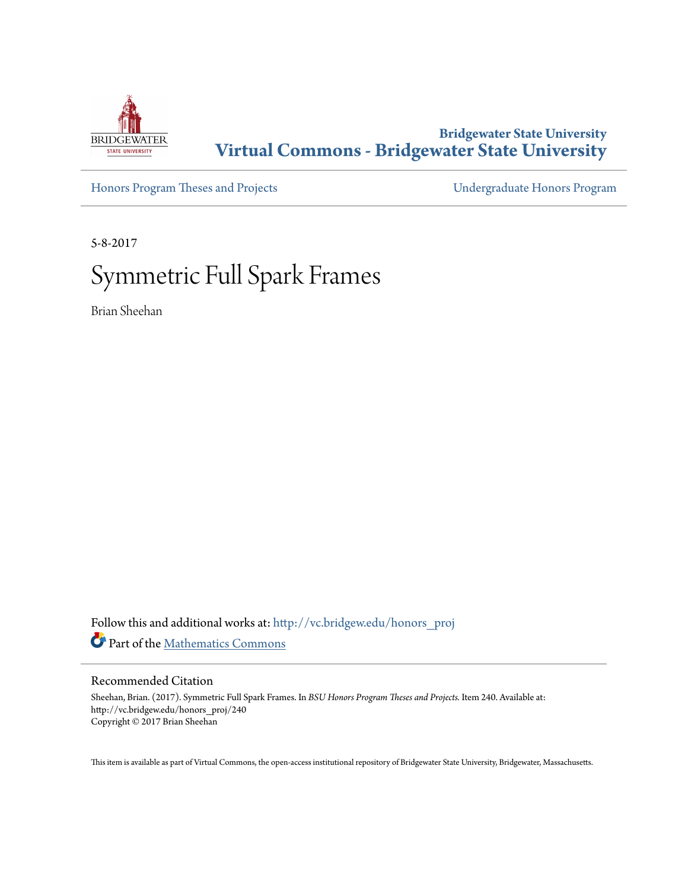

## **Bridgewater State University [Virtual Commons - Bridgewater State University](http://vc.bridgew.edu?utm_source=vc.bridgew.edu%2Fhonors_proj%2F240&utm_medium=PDF&utm_campaign=PDFCoverPages)**

[Honors Program Theses and Projects](http://vc.bridgew.edu/honors_proj?utm_source=vc.bridgew.edu%2Fhonors_proj%2F240&utm_medium=PDF&utm_campaign=PDFCoverPages) [Undergraduate Honors Program](http://vc.bridgew.edu/honors?utm_source=vc.bridgew.edu%2Fhonors_proj%2F240&utm_medium=PDF&utm_campaign=PDFCoverPages)

5-8-2017

# Symmetric Full Spark Frames

Brian Sheehan

Follow this and additional works at: [http://vc.bridgew.edu/honors\\_proj](http://vc.bridgew.edu/honors_proj?utm_source=vc.bridgew.edu%2Fhonors_proj%2F240&utm_medium=PDF&utm_campaign=PDFCoverPages) Part of the [Mathematics Commons](http://network.bepress.com/hgg/discipline/174?utm_source=vc.bridgew.edu%2Fhonors_proj%2F240&utm_medium=PDF&utm_campaign=PDFCoverPages)

#### Recommended Citation

Sheehan, Brian. (2017). Symmetric Full Spark Frames. In *BSU Honors Program Theses and Projects.* Item 240. Available at: http://vc.bridgew.edu/honors\_proj/240 Copyright © 2017 Brian Sheehan

This item is available as part of Virtual Commons, the open-access institutional repository of Bridgewater State University, Bridgewater, Massachusetts.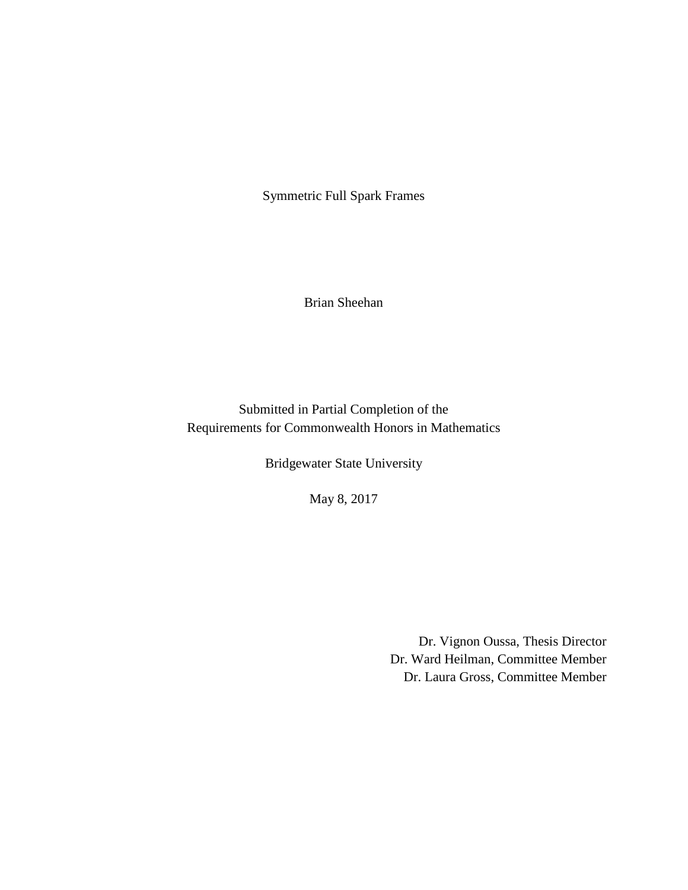Symmetric Full Spark Frames

Brian Sheehan

Submitted in Partial Completion of the Requirements for Commonwealth Honors in Mathematics

Bridgewater State University

May 8, 2017

Dr. Vignon Oussa, Thesis Director Dr. Ward Heilman, Committee Member Dr. Laura Gross, Committee Member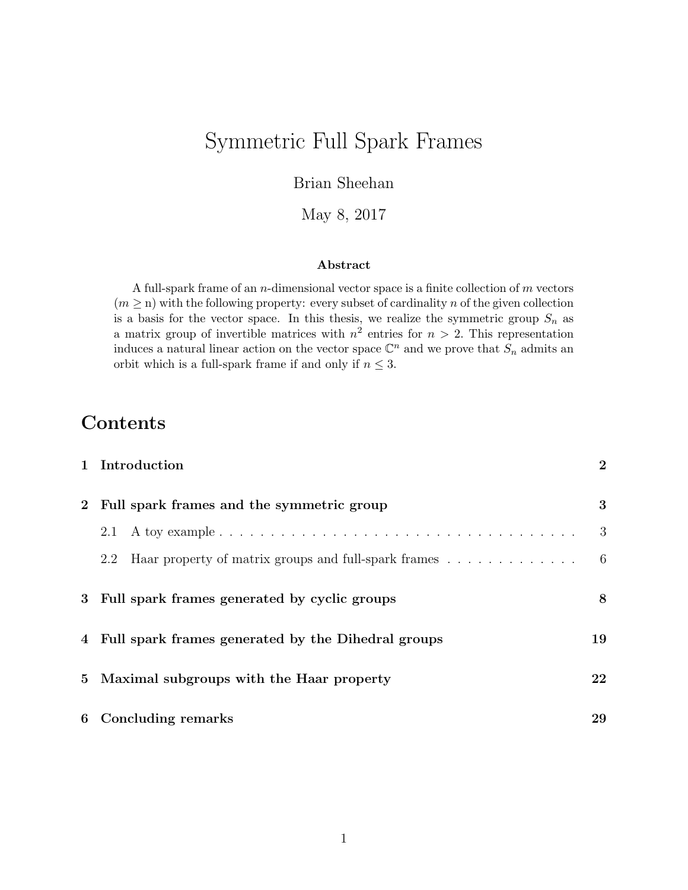## Symmetric Full Spark Frames

Brian Sheehan

May 8, 2017

#### Abstract

A full-spark frame of an  $n$ -dimensional vector space is a finite collection of  $m$  vectors  $(m \geq n)$  with the following property: every subset of cardinality n of the given collection is a basis for the vector space. In this thesis, we realize the symmetric group  $S_n$  as a matrix group of invertible matrices with  $n^2$  entries for  $n > 2$ . This representation induces a natural linear action on the vector space  $\mathbb{C}^n$  and we prove that  $S_n$  admits an orbit which is a full-spark frame if and only if  $n \leq 3$ .

## Contents

|              | 1 Introduction                                              | $\overline{2}$ |  |  |  |  |  |
|--------------|-------------------------------------------------------------|----------------|--|--|--|--|--|
| $\mathbf{2}$ | Full spark frames and the symmetric group                   |                |  |  |  |  |  |
|              | 2.1                                                         | 3              |  |  |  |  |  |
|              | Haar property of matrix groups and full-spark frames<br>2.2 | -6             |  |  |  |  |  |
| 3            | Full spark frames generated by cyclic groups                | 8              |  |  |  |  |  |
|              | 4 Full spark frames generated by the Dihedral groups        | 19             |  |  |  |  |  |
| 5.           | Maximal subgroups with the Haar property                    | 22             |  |  |  |  |  |
|              | 6 Concluding remarks                                        | 29             |  |  |  |  |  |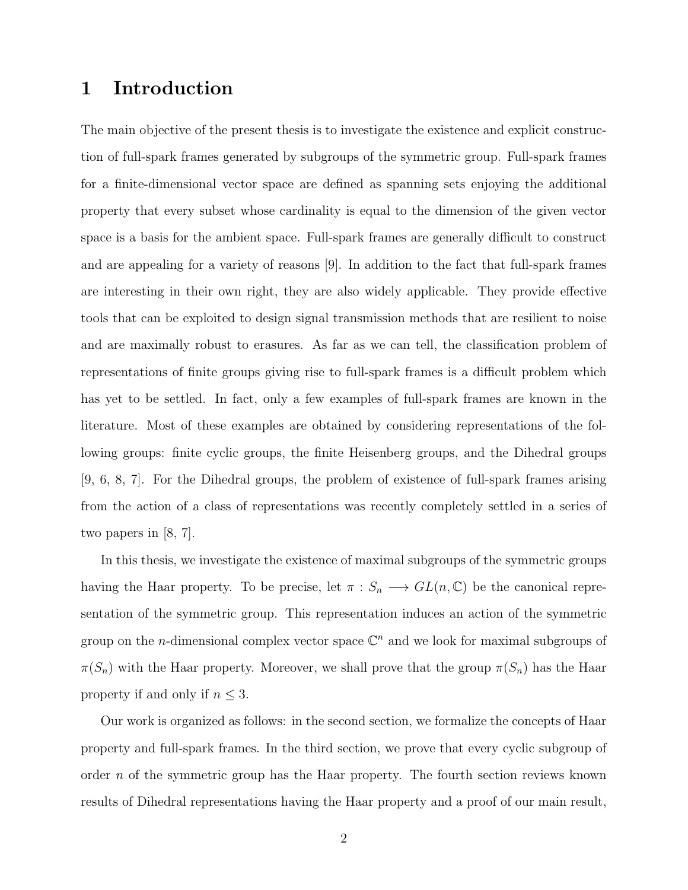## 1 Introduction

The main objective of the present thesis is to investigate the existence and explicit construction of full-spark frames generated by subgroups of the symmetric group. Full-spark frames for a finite-dimensional vector space are defined as spanning sets enjoying the additional property that every subset whose cardinality is equal to the dimension of the given vector space is a basis for the ambient space. Full-spark frames are generally difficult to construct and are appealing for a variety of reasons [9]. In addition to the fact that full-spark frames are interesting in their own right, they are also widely applicable. They provide effective tools that can be exploited to design signal transmission methods that are resilient to noise and are maximally robust to erasures. As far as we can tell, the classification problem of representations of finite groups giving rise to full-spark frames is a difficult problem which has yet to be settled. In fact, only a few examples of full-spark frames are known in the literature. Most of these examples are obtained by considering representations of the following groups: finite cyclic groups, the finite Heisenberg groups, and the Dihedral groups [9, 6, 8, 7]. For the Dihedral groups, the problem of existence of full-spark frames arising from the action of a class of representations was recently completely settled in a series of two papers in [8, 7].

In this thesis, we investigate the existence of maximal subgroups of the symmetric groups having the Haar property. To be precise, let  $\pi : S_n \longrightarrow GL(n, \mathbb{C})$  be the canonical representation of the symmetric group. This representation induces an action of the symmetric group on the *n*-dimensional complex vector space  $\mathbb{C}^n$  and we look for maximal subgroups of  $\pi(S_n)$  with the Haar property. Moreover, we shall prove that the group  $\pi(S_n)$  has the Haar property if and only if  $n \leq 3$ .

Our work is organized as follows: in the second section, we formalize the concepts of Haar property and full-spark frames. In the third section, we prove that every cyclic subgroup of order  $n$  of the symmetric group has the Haar property. The fourth section reviews known results of Dihedral representations having the Haar property and a proof of our main result,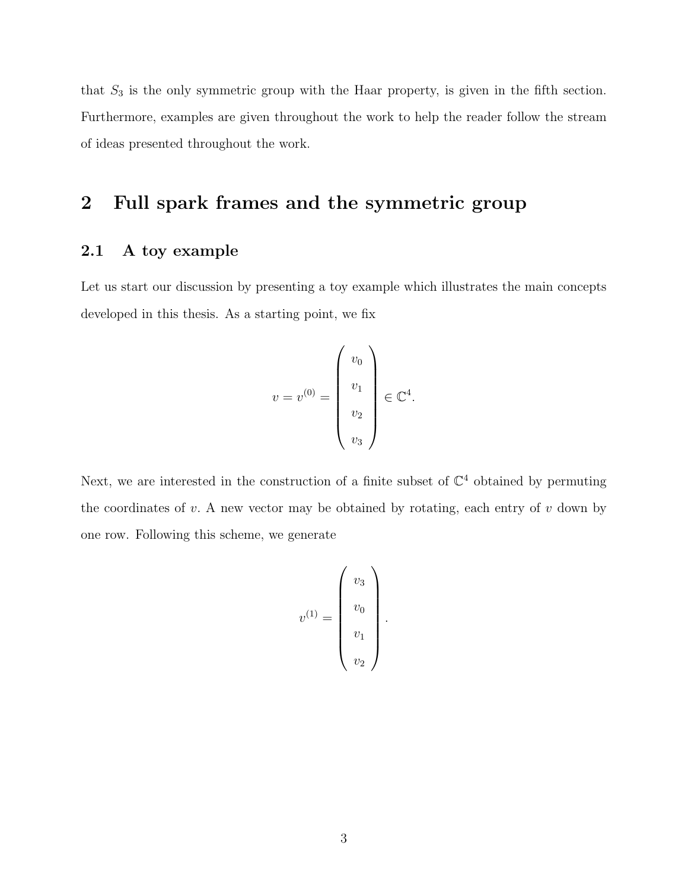that  $S_3$  is the only symmetric group with the Haar property, is given in the fifth section. Furthermore, examples are given throughout the work to help the reader follow the stream of ideas presented throughout the work.

## 2 Full spark frames and the symmetric group

#### 2.1 A toy example

Let us start our discussion by presenting a toy example which illustrates the main concepts developed in this thesis. As a starting point, we fix

$$
v = v^{(0)} = \begin{pmatrix} v_0 \\ v_1 \\ v_2 \\ v_3 \end{pmatrix} \in \mathbb{C}^4.
$$

Next, we are interested in the construction of a finite subset of  $\mathbb{C}^4$  obtained by permuting the coordinates of  $v$ . A new vector may be obtained by rotating, each entry of  $v$  down by one row. Following this scheme, we generate

$$
v^{(1)} = \begin{pmatrix} v_3 \\ v_0 \\ v_1 \\ v_2 \end{pmatrix}.
$$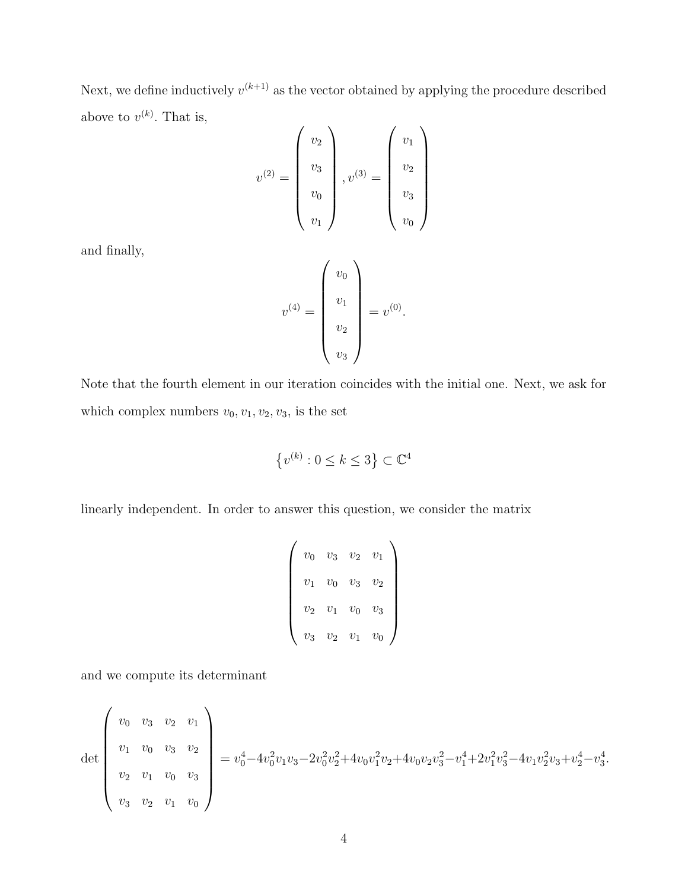Next, we define inductively  $v^{(k+1)}$  as the vector obtained by applying the procedure described above to  $v^{(k)}$ . That is,

$$
v^{(2)} = \begin{pmatrix} v_2 \\ v_3 \\ v_0 \\ v_1 \end{pmatrix}, v^{(3)} = \begin{pmatrix} v_1 \\ v_2 \\ v_3 \\ v_0 \end{pmatrix}
$$

and finally,

$$
v^{(4)} = \begin{pmatrix} v_0 \\ v_1 \\ v_2 \\ v_3 \end{pmatrix} = v^{(0)}.
$$

Note that the fourth element in our iteration coincides with the initial one. Next, we ask for which complex numbers  $v_0, v_1, v_2, v_3$ , is the set

 $\{v^{(k)}: 0 \leq k \leq 3\} \subset \mathbb{C}^4$ 

linearly independent. In order to answer this question, we consider the matrix

$$
\left(\begin{array}{cccc}v_0&v_3&v_2&v_1\\v_1&v_0&v_3&v_2\\v_2&v_1&v_0&v_3\\v_3&v_2&v_1&v_0\end{array}\right)
$$

and we compute its determinant

$$
\det \begin{pmatrix} v_0 & v_3 & v_2 & v_1 \ v_1 & v_0 & v_3 & v_2 \ v_2 & v_1 & v_0 & v_3 \ v_3 & v_2 & v_1 & v_0 \end{pmatrix} = v_0^4 - 4v_0^2v_1v_3 - 2v_0^2v_2^2 + 4v_0v_1^2v_2 + 4v_0v_2v_3^2 - v_1^4 + 2v_1^2v_3^2 - 4v_1v_2^2v_3 + v_2^4 - v_3^4.
$$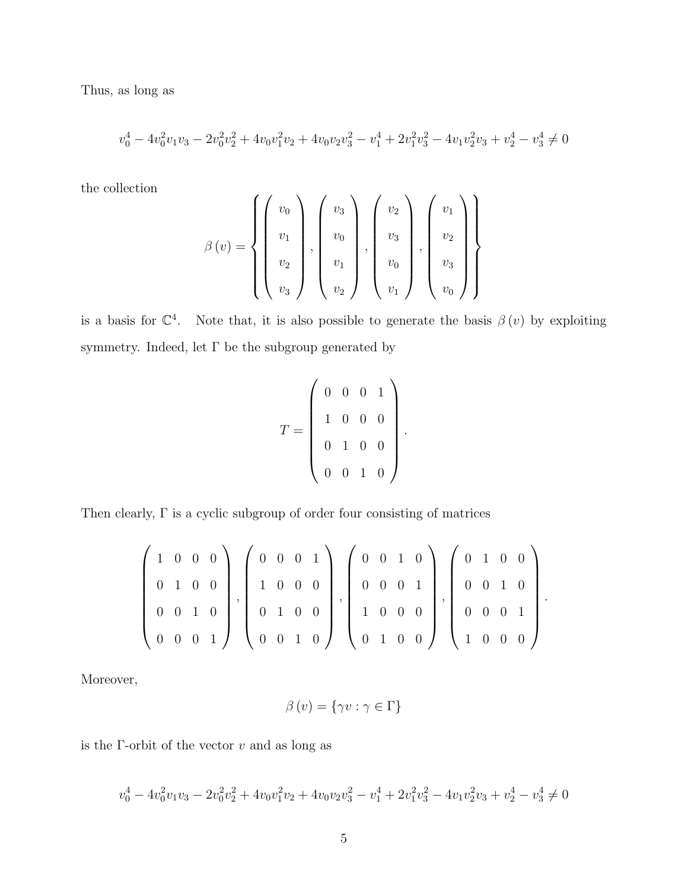Thus, as long as

$$
v_0^4 - 4v_0^2v_1v_3 - 2v_0^2v_2^2 + 4v_0v_1^2v_2 + 4v_0v_2v_3^2 - v_1^4 + 2v_1^2v_3^2 - 4v_1v_2^2v_3 + v_2^4 - v_3^4 \neq 0
$$

the collection

$$
\beta(v) = \left\{ \begin{pmatrix} v_0 \\ v_1 \\ v_2 \\ v_3 \end{pmatrix}, \begin{pmatrix} v_3 \\ v_0 \\ v_1 \\ v_2 \end{pmatrix}, \begin{pmatrix} v_2 \\ v_3 \\ v_0 \\ v_1 \end{pmatrix}, \begin{pmatrix} v_1 \\ v_2 \\ v_3 \\ v_1 \end{pmatrix} \right\}
$$

is a basis for  $\mathbb{C}^4$ . Note that, it is also possible to generate the basis  $\beta(v)$  by exploiting symmetry. Indeed, let  $\Gamma$  be the subgroup generated by

$$
T = \left(\begin{array}{cccc} 0 & 0 & 0 & 1 \\ 1 & 0 & 0 & 0 \\ 0 & 1 & 0 & 0 \\ 0 & 0 & 1 & 0 \end{array}\right).
$$

Then clearly,  $\Gamma$  is a cyclic subgroup of order four consisting of matrices

$$
\left(\begin{array}{cccc|c}1 & 0 & 0 & 0 \\ 0 & 1 & 0 & 0 \\ 0 & 0 & 1 & 0 \\ 0 & 0 & 0 & 1\end{array}\right), \left(\begin{array}{cccc|c}0 & 0 & 0 & 1 \\ 1 & 0 & 0 & 0 \\ 0 & 1 & 0 & 0 \\ 0 & 0 & 1 & 0\end{array}\right), \left(\begin{array}{cccc|c}0 & 0 & 1 & 0 \\ 0 & 0 & 0 & 1 \\ 1 & 0 & 0 & 0 \\ 0 & 1 & 0 & 0\end{array}\right), \left(\begin{array}{cccc|c}0 & 1 & 0 & 0 \\ 0 & 0 & 1 & 0 \\ 0 & 0 & 0 & 1 \\ 1 & 0 & 0 & 0\end{array}\right).
$$

Moreover,

$$
\beta(v) = \{\gamma v : \gamma \in \Gamma\}
$$

is the  $\Gamma$ -orbit of the vector  $v$  and as long as

$$
v_0^4 - 4v_0^2v_1v_3 - 2v_0^2v_2^2 + 4v_0v_1^2v_2 + 4v_0v_2v_3^2 - v_1^4 + 2v_1^2v_3^2 - 4v_1v_2^2v_3 + v_2^4 - v_3^4 \neq 0
$$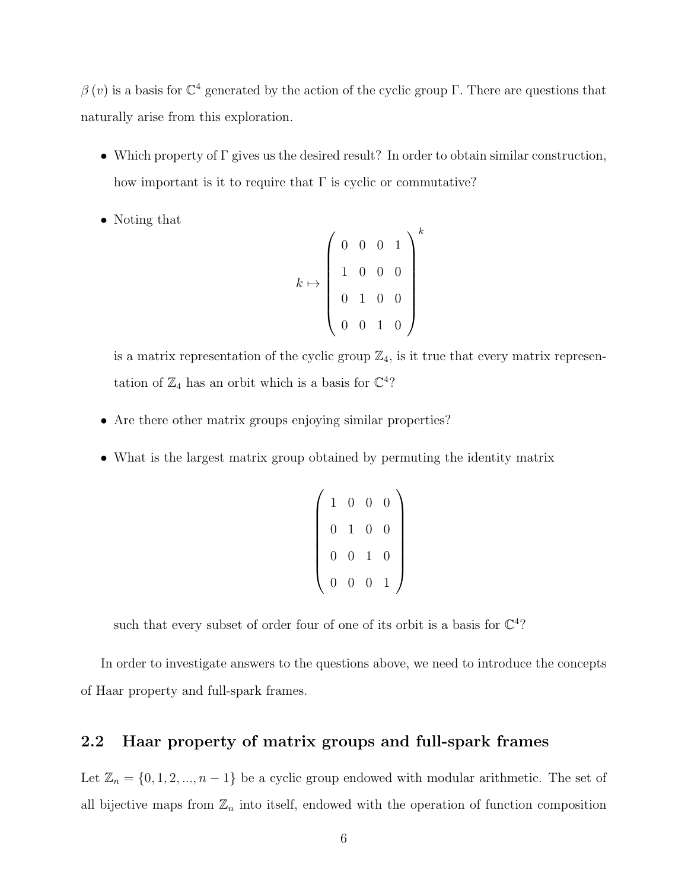$\beta(v)$  is a basis for  $\mathbb{C}^4$  generated by the action of the cyclic group Γ. There are questions that naturally arise from this exploration.

- Which property of Γ gives us the desired result? In order to obtain similar construction, how important is it to require that  $\Gamma$  is cyclic or commutative?
- Noting that

$$
k \mapsto \left(\begin{array}{cccc} 0 & 0 & 0 & 1 \\ 1 & 0 & 0 & 0 \\ 0 & 1 & 0 & 0 \\ 0 & 0 & 1 & 0 \end{array}\right)^k
$$

is a matrix representation of the cyclic group  $\mathbb{Z}_4$ , is it true that every matrix representation of  $\mathbb{Z}_4$  has an orbit which is a basis for  $\mathbb{C}^4$ ?

- Are there other matrix groups enjoying similar properties?
- What is the largest matrix group obtained by permuting the identity matrix

$$
\left(\n\begin{array}{cccc}\n1 & 0 & 0 & 0 \\
0 & 1 & 0 & 0 \\
0 & 0 & 1 & 0 \\
0 & 0 & 0 & 1\n\end{array}\n\right)
$$

such that every subset of order four of one of its orbit is a basis for  $\mathbb{C}^4$ ?

In order to investigate answers to the questions above, we need to introduce the concepts of Haar property and full-spark frames.

#### 2.2 Haar property of matrix groups and full-spark frames

Let  $\mathbb{Z}_n = \{0, 1, 2, ..., n-1\}$  be a cyclic group endowed with modular arithmetic. The set of all bijective maps from  $\mathbb{Z}_n$  into itself, endowed with the operation of function composition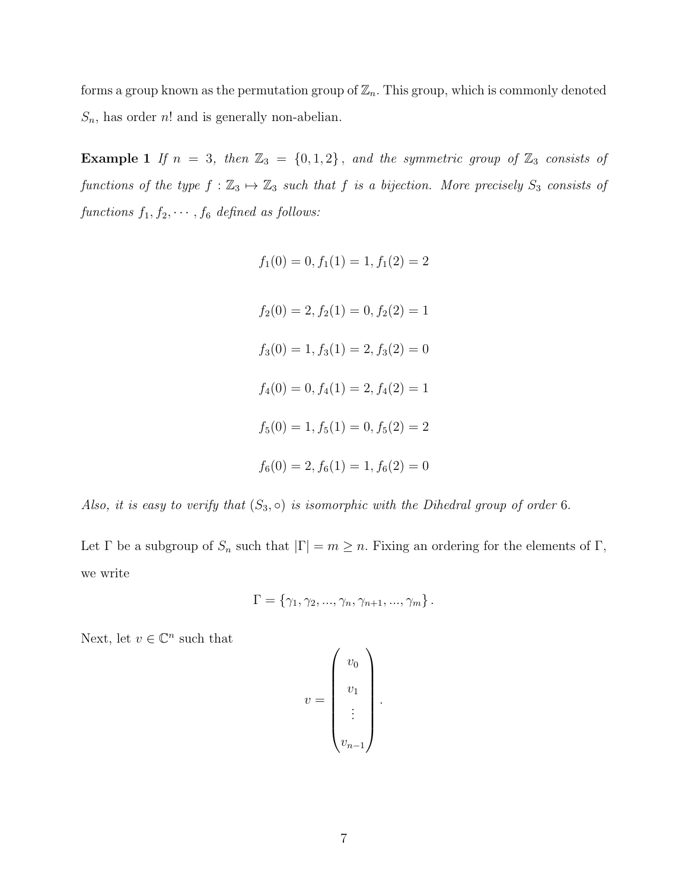forms a group known as the permutation group of  $\mathbb{Z}_n$ . This group, which is commonly denoted  $S_n$ , has order n! and is generally non-abelian.

Example 1 If  $n = 3$ , then  $\mathbb{Z}_3 = \{0, 1, 2\}$ , and the symmetric group of  $\mathbb{Z}_3$  consists of functions of the type  $f : \mathbb{Z}_3 \mapsto \mathbb{Z}_3$  such that f is a bijection. More precisely  $S_3$  consists of functions  $f_1, f_2, \cdots, f_6$  defined as follows:

$$
f_1(0) = 0, f_1(1) = 1, f_1(2) = 2
$$
  

$$
f_2(0) = 2, f_2(1) = 0, f_2(2) = 1
$$
  

$$
f_3(0) = 1, f_3(1) = 2, f_3(2) = 0
$$
  

$$
f_4(0) = 0, f_4(1) = 2, f_4(2) = 1
$$
  

$$
f_5(0) = 1, f_5(1) = 0, f_5(2) = 2
$$
  

$$
f_6(0) = 2, f_6(1) = 1, f_6(2) = 0
$$

Also, it is easy to verify that  $(S_3, \circ)$  is isomorphic with the Dihedral group of order 6.

Let  $\Gamma$  be a subgroup of  $S_n$  such that  $|\Gamma| = m \geq n$ . Fixing an ordering for the elements of  $\Gamma$ , we write

$$
\Gamma = \{ \gamma_1, \gamma_2, ..., \gamma_n, \gamma_{n+1}, ..., \gamma_m \}.
$$

Next, let  $v \in \mathbb{C}^n$  such that

$$
v = \begin{pmatrix} v_0 \\ v_1 \\ \vdots \\ v_{n-1} \end{pmatrix}.
$$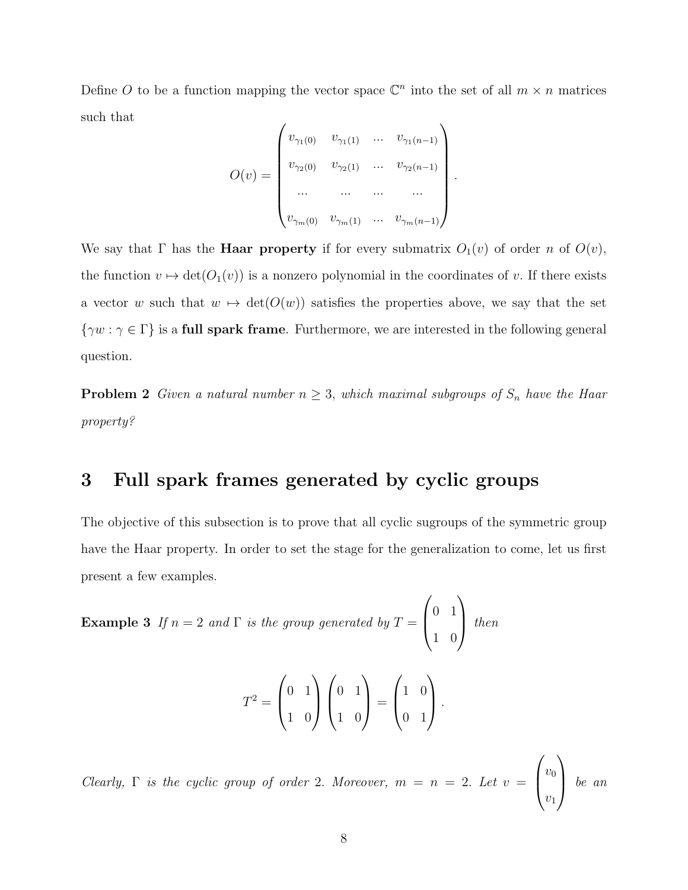Define O to be a function mapping the vector space  $\mathbb{C}^n$  into the set of all  $m \times n$  matrices such that

$$
O(v) = \begin{pmatrix} v_{\gamma_1(0)} & v_{\gamma_1(1)} & \dots & v_{\gamma_1(n-1)} \\ v_{\gamma_2(0)} & v_{\gamma_2(1)} & \dots & v_{\gamma_2(n-1)} \\ \dots & \dots & \dots & \dots \\ v_{\gamma_m(0)} & v_{\gamma_m(1)} & \dots & v_{\gamma_m(n-1)} \end{pmatrix}
$$

.

We say that  $\Gamma$  has the **Haar property** if for every submatrix  $O_1(v)$  of order n of  $O(v)$ , the function  $v \mapsto \det(O_1(v))$  is a nonzero polynomial in the coordinates of v. If there exists a vector w such that  $w \mapsto \det(O(w))$  satisfies the properties above, we say that the set  $\{\gamma w : \gamma \in \Gamma\}$  is a full spark frame. Furthermore, we are interested in the following general question.

**Problem 2** Given a natural number  $n \geq 3$ , which maximal subgroups of  $S_n$  have the Haar property?

## 3 Full spark frames generated by cyclic groups

The objective of this subsection is to prove that all cyclic sugroups of the symmetric group have the Haar property. In order to set the stage for the generalization to come, let us first present a few examples.

**Example 3** If  $n = 2$  and  $\Gamma$  is the group generated by  $T =$  $\sqrt{ }$  $\left\lfloor \right\rfloor$ 0 1 1 0  $\setminus$ then

$$
T^{2} = \begin{pmatrix} 0 & 1 \\ 1 & 0 \end{pmatrix} \begin{pmatrix} 0 & 1 \\ 1 & 0 \end{pmatrix} = \begin{pmatrix} 1 & 0 \\ 0 & 1 \end{pmatrix}.
$$

Clearly,  $\Gamma$  is the cyclic group of order 2. Moreover,  $m = n = 2$ . Let  $v =$  $\sqrt{ }$  $\left\lfloor \right\rfloor$  $v_0$  $v_1$  $\setminus$  $\int e^{in}$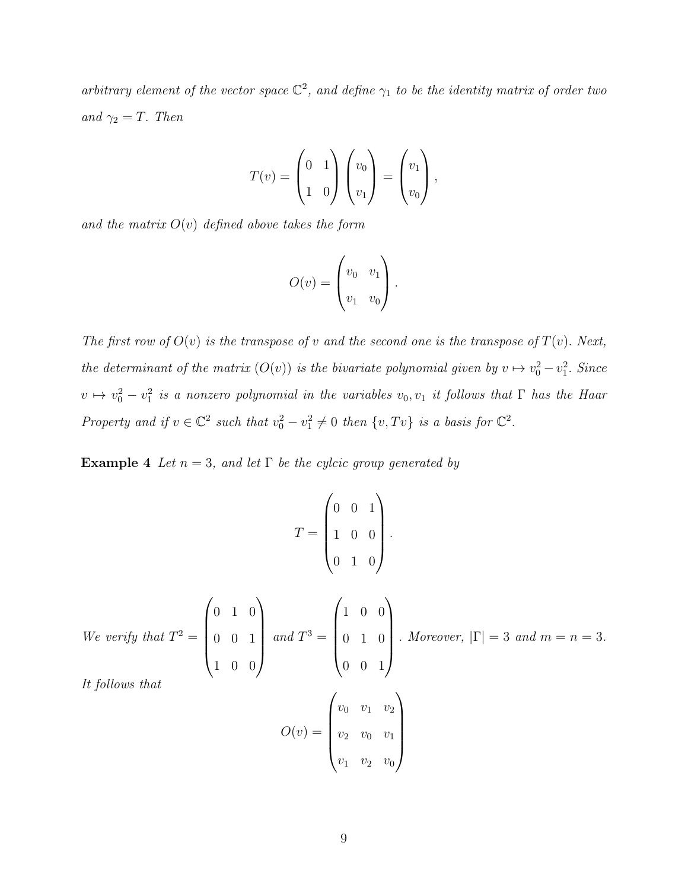arbitrary element of the vector space  $\mathbb{C}^2$ , and define  $\gamma_1$  to be the identity matrix of order two and  $\gamma_2 = T$ . Then

$$
T(v) = \begin{pmatrix} 0 & 1 \\ 1 & 0 \end{pmatrix} \begin{pmatrix} v_0 \\ v_1 \end{pmatrix} = \begin{pmatrix} v_1 \\ v_0 \end{pmatrix},
$$

and the matrix  $O(v)$  defined above takes the form

$$
O(v) = \begin{pmatrix} v_0 & v_1 \\ v_1 & v_0 \end{pmatrix}.
$$

The first row of  $O(v)$  is the transpose of v and the second one is the transpose of  $T(v)$ . Next, the determinant of the matrix  $(O(v))$  is the bivariate polynomial given by  $v \mapsto v_0^2 - v_1^2$ . Since  $v \mapsto v_0^2 - v_1^2$  is a nonzero polynomial in the variables  $v_0, v_1$  it follows that  $\Gamma$  has the Haar Property and if  $v \in \mathbb{C}^2$  such that  $v_0^2 - v_1^2 \neq 0$  then  $\{v, Tv\}$  is a basis for  $\mathbb{C}^2$ .

**Example 4** Let  $n = 3$ , and let  $\Gamma$  be the cylcic group generated by

$$
T = \begin{pmatrix} 0 & 0 & 1 \\ 1 & 0 & 0 \\ 0 & 1 & 0 \end{pmatrix}.
$$

We verify that  $T^2 =$  $\sqrt{ }$  $\overline{\phantom{a}}$ 0 1 0 0 0 1 1 0 0  $\setminus$  $\begin{array}{c} \hline \end{array}$ and  $T^3 =$  $\sqrt{ }$  $\overline{\phantom{a}}$ 1 0 0 0 1 0 0 0 1  $\setminus$  $\begin{array}{c} \hline \end{array}$ . Moreover,  $|\Gamma| = 3$  and  $m = n = 3$ .

It follows that

$$
O(v) = \begin{pmatrix} v_0 & v_1 & v_2 \\ v_2 & v_0 & v_1 \\ v_1 & v_2 & v_0 \end{pmatrix}
$$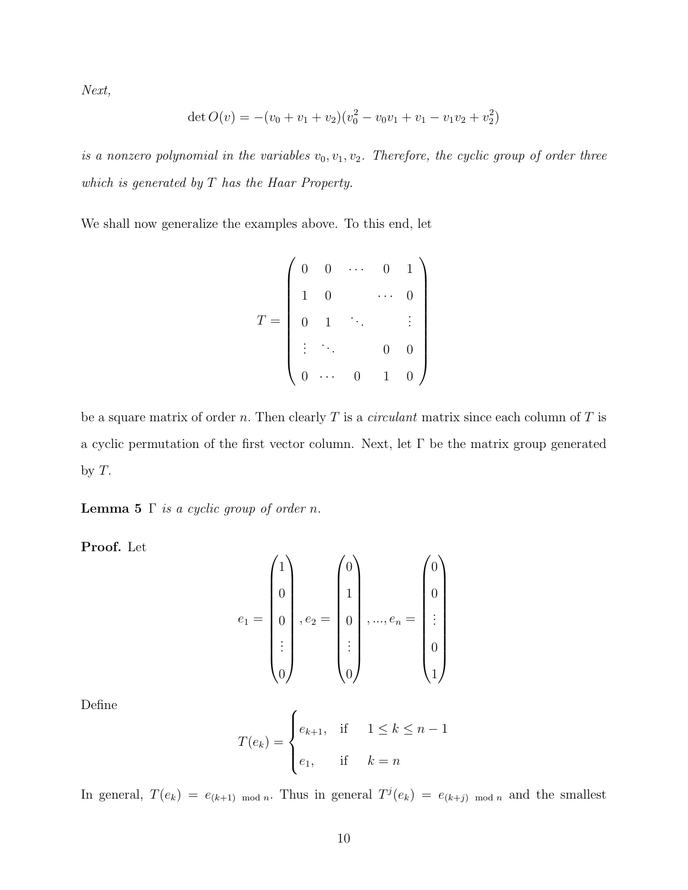Next,

$$
\det O(v) = -(v_0 + v_1 + v_2)(v_0^2 - v_0v_1 + v_1 - v_1v_2 + v_2^2)
$$

is a nonzero polynomial in the variables  $v_0, v_1, v_2$ . Therefore, the cyclic group of order three which is generated by T has the Haar Property.

We shall now generalize the examples above. To this end, let

$$
T = \left(\begin{array}{cccc} 0 & 0 & \cdots & 0 & 1 \\ 1 & 0 & & \cdots & 0 \\ 0 & 1 & & & \vdots \\ \vdots & \ddots & & 0 & 0 \\ 0 & \cdots & 0 & 1 & 0 \end{array}\right)
$$

be a square matrix of order n. Then clearly  $T$  is a *circulant* matrix since each column of  $T$  is a cyclic permutation of the first vector column. Next, let Γ be the matrix group generated by  $T$ .

**Lemma 5**  $\Gamma$  *is a cyclic group of order n.* 

Proof. Let

$$
e_{1} = \begin{pmatrix} 1 \\ 0 \\ 0 \\ \vdots \\ 0 \end{pmatrix}, e_{2} = \begin{pmatrix} 0 \\ 1 \\ 0 \\ \vdots \\ 0 \end{pmatrix}, ..., e_{n} = \begin{pmatrix} 0 \\ 0 \\ \vdots \\ 0 \\ 1 \end{pmatrix}
$$

Define

$$
T(e_k) = \begin{cases} e_{k+1}, & \text{if } 1 \le k \le n-1 \\ e_1, & \text{if } k = n \end{cases}
$$

In general,  $T(e_k) = e_{(k+1) \mod n}$ . Thus in general  $T^j(e_k) = e_{(k+j) \mod n}$  and the smallest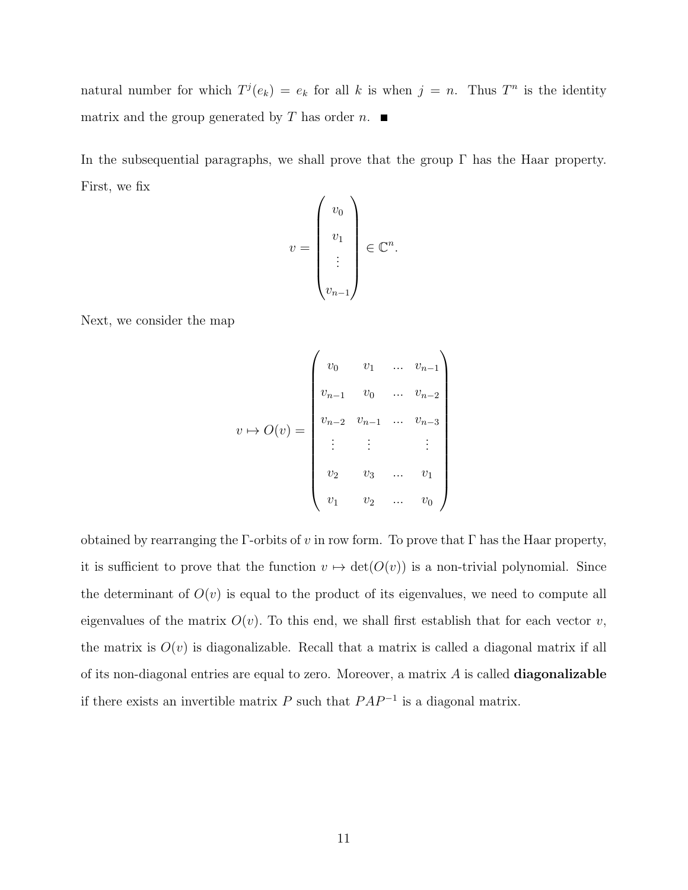natural number for which  $T^{j}(e_k) = e_k$  for all k is when  $j = n$ . Thus  $T^n$  is the identity matrix and the group generated by T has order n.  $\blacksquare$ 

In the subsequential paragraphs, we shall prove that the group  $\Gamma$  has the Haar property. First, we fix

$$
v = \begin{pmatrix} v_0 \\ v_1 \\ \vdots \\ v_{n-1} \end{pmatrix} \in \mathbb{C}^n.
$$

Next, we consider the map

$$
v \mapsto O(v) = \begin{pmatrix} v_0 & v_1 & \dots & v_{n-1} \\ v_{n-1} & v_0 & \dots & v_{n-2} \\ v_{n-2} & v_{n-1} & \dots & v_{n-3} \\ \vdots & \vdots & & \vdots \\ v_2 & v_3 & \dots & v_1 \\ v_1 & v_2 & \dots & v_0 \end{pmatrix}
$$

obtained by rearranging the  $\Gamma$ -orbits of v in row form. To prove that  $\Gamma$  has the Haar property, it is sufficient to prove that the function  $v \mapsto \det(O(v))$  is a non-trivial polynomial. Since the determinant of  $O(v)$  is equal to the product of its eigenvalues, we need to compute all eigenvalues of the matrix  $O(v)$ . To this end, we shall first establish that for each vector v, the matrix is  $O(v)$  is diagonalizable. Recall that a matrix is called a diagonal matrix if all of its non-diagonal entries are equal to zero. Moreover, a matrix  $A$  is called **diagonalizable** if there exists an invertible matrix  $P$  such that  $PAP^{-1}$  is a diagonal matrix.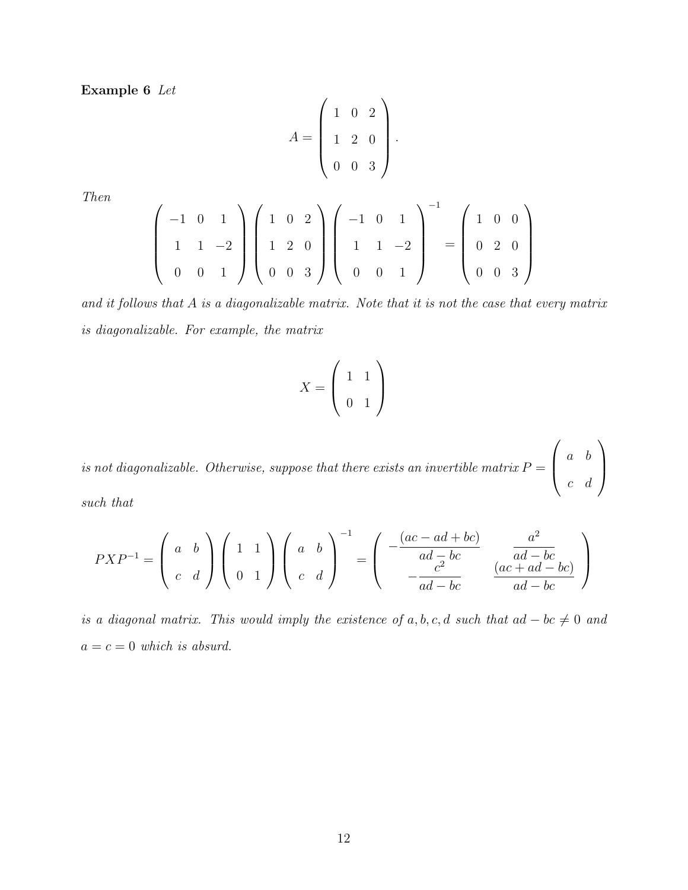Example 6 Let

$$
A = \left(\begin{array}{rrr} 1 & 0 & 2 \\ 1 & 2 & 0 \\ 0 & 0 & 3 \end{array}\right).
$$

Then

$$
\begin{pmatrix}\n-1 & 0 & 1 \\
1 & 1 & -2 \\
0 & 0 & 1\n\end{pmatrix}\n\begin{pmatrix}\n1 & 0 & 2 \\
1 & 2 & 0 \\
0 & 0 & 3\n\end{pmatrix}\n\begin{pmatrix}\n-1 & 0 & 1 \\
1 & 1 & -2 \\
0 & 0 & 1\n\end{pmatrix}^{-1} =\n\begin{pmatrix}\n1 & 0 & 0 \\
0 & 2 & 0 \\
0 & 0 & 3\n\end{pmatrix}
$$

and it follows that A is a diagonalizable matrix. Note that it is not the case that every matrix is diagonalizable. For example, the matrix

$$
X = \left(\begin{array}{cc} 1 & 1 \\ 0 & 1 \end{array}\right)
$$

is not diagonalizable. Otherwise, suppose that there exists an invertible matrix  $P =$  $\sqrt{ }$  $\overline{ }$ a b c d  $\setminus$  $\Big\}$ 

such that

$$
PXP^{-1} = \begin{pmatrix} a & b \\ c & d \end{pmatrix} \begin{pmatrix} 1 & 1 \\ 0 & 1 \end{pmatrix} \begin{pmatrix} a & b \\ c & d \end{pmatrix}^{-1} = \begin{pmatrix} -\frac{(ac - ad + bc)}{ad - bc} & \frac{a^2}{ad - bc} \\ -\frac{c^2}{ad - bc} & \frac{(ac + ad - bc)}{ad - bc} \end{pmatrix}
$$

is a diagonal matrix. This would imply the existence of  $a, b, c, d$  such that  $ad - bc \neq 0$  and  $a = c = 0$  which is absurd.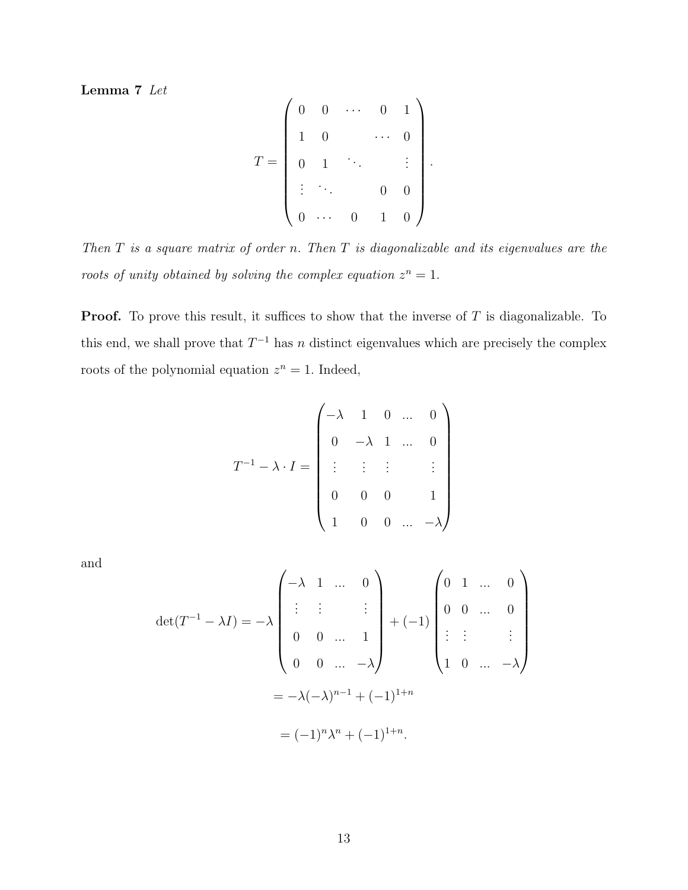Lemma 7 Let

$$
T = \begin{pmatrix} 0 & 0 & \cdots & 0 & 1 \\ 1 & 0 & & \cdots & 0 \\ 0 & 1 & \ddots & & \vdots \\ \vdots & \ddots & & 0 & 0 \\ 0 & \cdots & 0 & 1 & 0 \end{pmatrix}
$$

.

Then  $T$  is a square matrix of order n. Then  $T$  is diagonalizable and its eigenvalues are the roots of unity obtained by solving the complex equation  $z^n = 1$ .

**Proof.** To prove this result, it suffices to show that the inverse of  $T$  is diagonalizable. To this end, we shall prove that  $T^{-1}$  has n distinct eigenvalues which are precisely the complex roots of the polynomial equation  $z^n = 1$ . Indeed,

$$
T^{-1} - \lambda \cdot I = \begin{pmatrix} -\lambda & 1 & 0 & \dots & 0 \\ 0 & -\lambda & 1 & \dots & 0 \\ \vdots & \vdots & \vdots & & \vdots \\ 0 & 0 & 0 & 1 \\ 1 & 0 & 0 & \dots & -\lambda \end{pmatrix}
$$

and

$$
\det(T^{-1} - \lambda I) = -\lambda \begin{pmatrix} -\lambda & 1 & \dots & 0 \\ \vdots & \vdots & & \vdots \\ 0 & 0 & \dots & 1 \\ 0 & 0 & \dots & -\lambda \end{pmatrix} + (-1) \begin{pmatrix} 0 & 1 & \dots & 0 \\ 0 & 0 & \dots & 0 \\ \vdots & \vdots & & \vdots \\ 1 & 0 & \dots & -\lambda \end{pmatrix}
$$

$$
= -\lambda(-\lambda)^{n-1} + (-1)^{1+n}
$$

$$
= (-1)^n \lambda^n + (-1)^{1+n}.
$$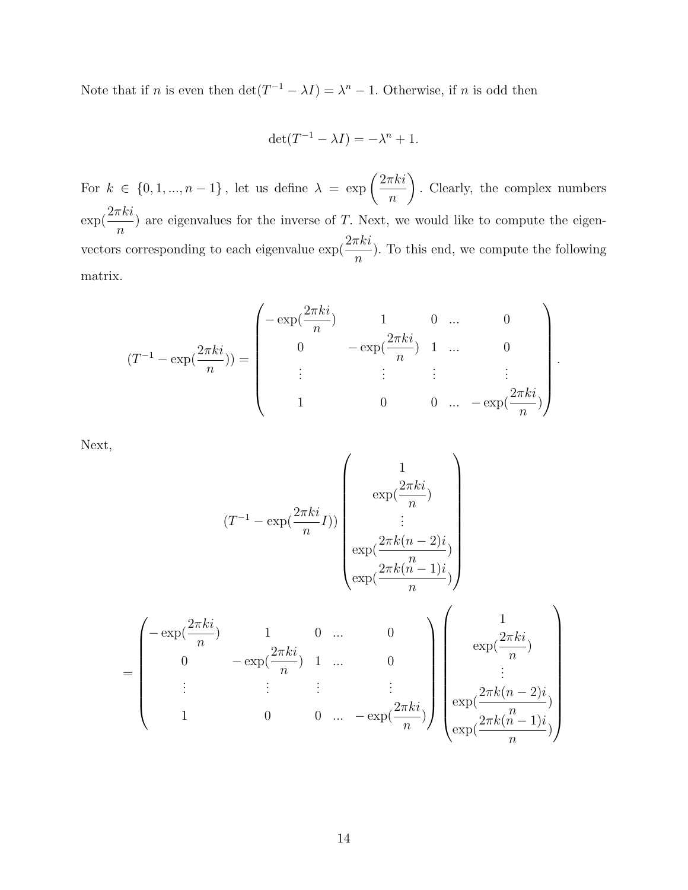Note that if *n* is even then  $\det(T^{-1} - \lambda I) = \lambda^n - 1$ . Otherwise, if *n* is odd then

$$
\det(T^{-1} - \lambda I) = -\lambda^n + 1.
$$

For  $k \in \{0, 1, ..., n-1\}$ , let us define  $\lambda = \exp\left(\frac{2\pi k i}{\lambda}\right)$ n  $\setminus$ . Clearly, the complex numbers  $\exp(\frac{2\pi ki}{\pi})$  $\overline{n}$ ) are eigenvalues for the inverse of  $T$ . Next, we would like to compute the eigenvectors corresponding to each eigenvalue  $\exp(\frac{2\pi k i}{\epsilon})$ n ). To this end, we compute the following matrix.

$$
(T^{-1} - \exp(\frac{2\pi ki}{n})) = \begin{pmatrix} -\exp(\frac{2\pi ki}{n}) & 1 & 0 & \dots & 0 \\ 0 & -\exp(\frac{2\pi ki}{n}) & 1 & \dots & 0 \\ \vdots & \vdots & \vdots & \vdots & \vdots \\ 1 & 0 & 0 & \dots & -\exp(\frac{2\pi ki}{n}) \end{pmatrix}.
$$

Next,

$$
(T^{-1} - \exp(\frac{2\pi ki}{n}I))
$$
\n
$$
(T^{-1} - \exp(\frac{2\pi ki}{n}I))
$$
\n
$$
\exp(\frac{2\pi k(n-2)i}{n})
$$
\n
$$
= \begin{pmatrix}\n-\exp(\frac{2\pi ki}{n}) & 1 & 0 & \dots & 0 \\
0 & -\exp(\frac{2\pi ki}{n}) & 1 & \dots & 0 \\
\vdots & \vdots & \vdots & \ddots & \vdots \\
1 & 0 & 0 & \dots & -\exp(\frac{2\pi ki}{n})\n\end{pmatrix}
$$
\n
$$
\exp(\frac{2\pi ki}{n})
$$
\n
$$
\exp(\frac{2\pi k(n-2)i}{n})
$$
\n
$$
\exp(\frac{2\pi k(n-2)i}{n})
$$
\n
$$
\exp(\frac{2\pi k(n-2)i}{n})
$$
\n
$$
\exp(\frac{2\pi k(n-1)i}{n})
$$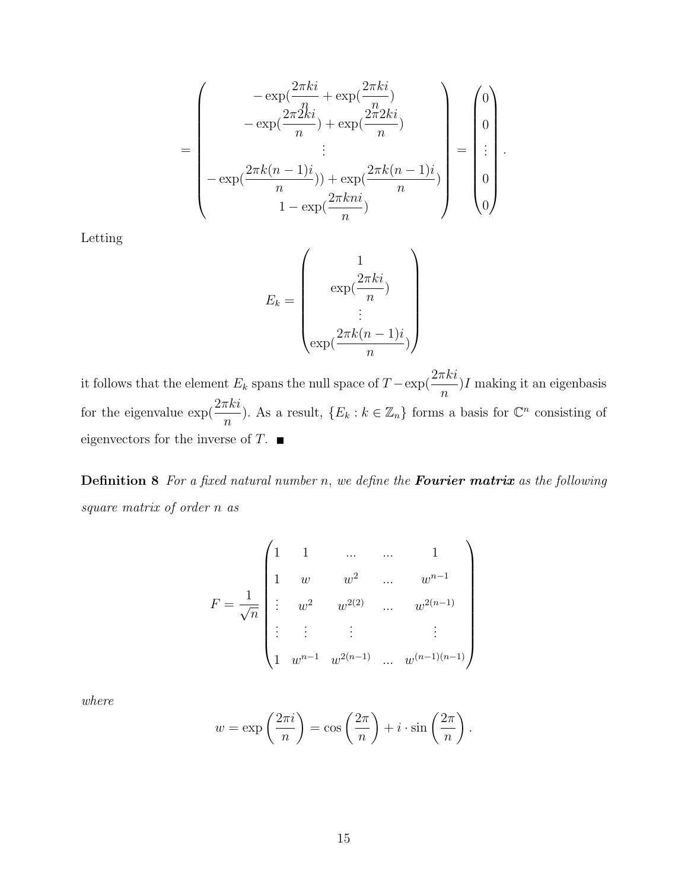$$
= \begin{pmatrix} -\exp(\frac{2\pi ki}{n} + \exp(\frac{2\pi ki}{n}) - \exp(\frac{2\pi 2ki}{n}) + \exp(\frac{2\pi 2ki}{n}) \\ -\exp(\frac{2\pi k(n-1)i}{n}) + \exp(\frac{2\pi k(n-1)i}{n}) \\ -\exp(\frac{2\pi k(n-1)i}{n}) + \exp(\frac{2\pi kni}{n}) \end{pmatrix} = \begin{pmatrix} 0 \\ 0 \\ \vdots \\ 0 \end{pmatrix}.
$$

Letting

$$
E_k = \begin{pmatrix} 1 \\ \exp(\frac{2\pi ki}{n}) \\ \vdots \\ \exp(\frac{2\pi k(n-1)i}{n}) \end{pmatrix}
$$

it follows that the element  $E_k$  spans the null space of  $T - \exp(\frac{2\pi k i}{n})$  $I$  making it an eigenbasis for the eigenvalue  $\exp(\frac{2\pi ki}{\pi})$ <sup> $\lfloor k\rfloor$ </sup>). As a result,  $\{E_k : k \in \mathbb{Z}_n\}$  forms a basis for  $\mathbb{C}^n$  consisting of eigenvectors for the inverse of  $T$ .

**Definition 8** For a fixed natural number n, we define the **Fourier matrix** as the following square matrix of order n as

$$
F = \frac{1}{\sqrt{n}} \begin{pmatrix} 1 & 1 & \dots & \dots & 1 \\ 1 & w & w^2 & \dots & w^{n-1} \\ \vdots & w^2 & w^{2(2)} & \dots & w^{2(n-1)} \\ \vdots & \vdots & \vdots & & \vdots \\ 1 & w^{n-1} & w^{2(n-1)} & \dots & w^{(n-1)(n-1)} \end{pmatrix}
$$

where

$$
w = \exp\left(\frac{2\pi i}{n}\right) = \cos\left(\frac{2\pi}{n}\right) + i \cdot \sin\left(\frac{2\pi}{n}\right).
$$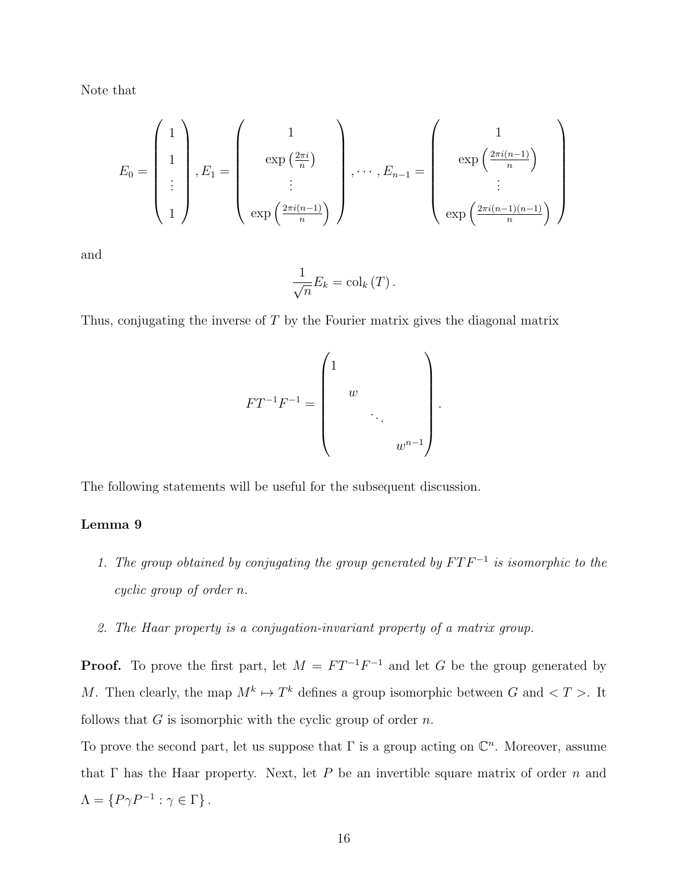Note that

$$
E_0 = \begin{pmatrix} 1 \\ 1 \\ \vdots \\ 1 \end{pmatrix}, E_1 = \begin{pmatrix} 1 \\ \exp\left(\frac{2\pi i}{n}\right) \\ \vdots \\ \exp\left(\frac{2\pi i(n-1)}{n}\right) \end{pmatrix}, \cdots, E_{n-1} = \begin{pmatrix} 1 \\ \exp\left(\frac{2\pi i(n-1)}{n}\right) \\ \vdots \\ \exp\left(\frac{2\pi i(n-1)(n-1)}{n}\right) \end{pmatrix}
$$

and

$$
\frac{1}{\sqrt{n}}E_{k}=\mathrm{col}_{k}\left(T\right).
$$

Thus, conjugating the inverse of T by the Fourier matrix gives the diagonal matrix

$$
FT^{-1}F^{-1} = \begin{pmatrix} 1 & & & \\ & w & & \\ & & \ddots & \\ & & & w^{n-1} \end{pmatrix}.
$$

The following statements will be useful for the subsequent discussion.

#### Lemma 9

- 1. The group obtained by conjugating the group generated by  $FTF^{-1}$  is isomorphic to the cyclic group of order n.
- 2. The Haar property is a conjugation-invariant property of a matrix group.

**Proof.** To prove the first part, let  $M = FT^{-1}F^{-1}$  and let G be the group generated by M. Then clearly, the map  $M^k \mapsto T^k$  defines a group isomorphic between G and  $\langle T \rangle$ . It follows that  $G$  is isomorphic with the cyclic group of order  $n$ .

To prove the second part, let us suppose that  $\Gamma$  is a group acting on  $\mathbb{C}^n$ . Moreover, assume that  $\Gamma$  has the Haar property. Next, let P be an invertible square matrix of order n and  $\Lambda = \{P\gamma P^{-1} : \gamma \in \Gamma\}.$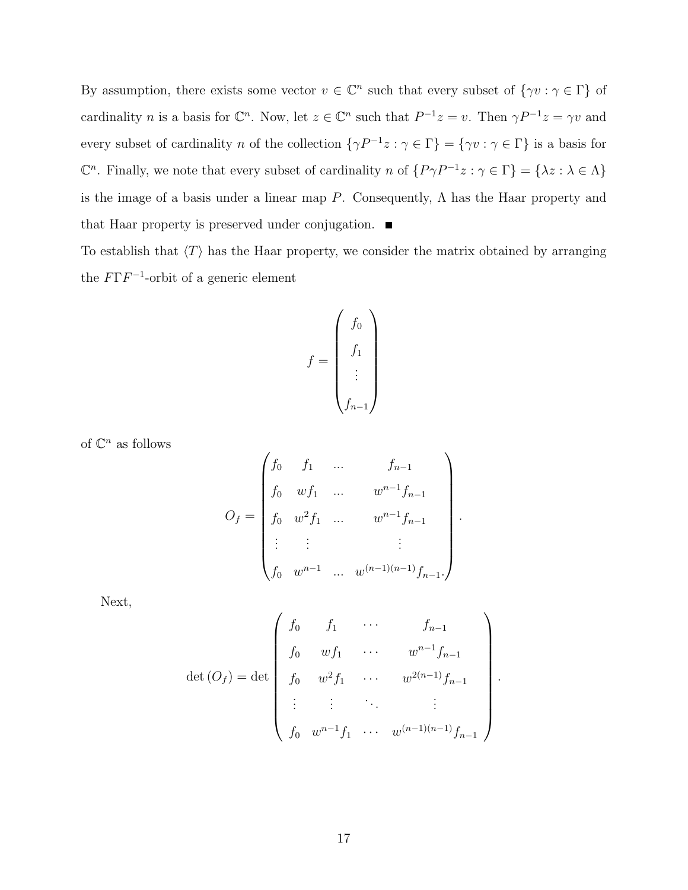By assumption, there exists some vector  $v \in \mathbb{C}^n$  such that every subset of  $\{\gamma v : \gamma \in \Gamma\}$  of cardinality *n* is a basis for  $\mathbb{C}^n$ . Now, let  $z \in \mathbb{C}^n$  such that  $P^{-1}z = v$ . Then  $\gamma P^{-1}z = \gamma v$  and every subset of cardinality n of the collection  $\{\gamma P^{-1}z : \gamma \in \Gamma\} = \{\gamma v : \gamma \in \Gamma\}$  is a basis for  $\mathbb{C}^n$ . Finally, we note that every subset of cardinality n of  $\{P\gamma P^{-1}z : \gamma \in \Gamma\} = \{\lambda z : \lambda \in \Lambda\}$ is the image of a basis under a linear map  $P$ . Consequently,  $\Lambda$  has the Haar property and that Haar property is preserved under conjugation.

To establish that  $\langle T \rangle$  has the Haar property, we consider the matrix obtained by arranging the  $F\Gamma F^{-1}$ -orbit of a generic element

$$
f = \begin{pmatrix} f_0 \\ f_1 \\ \vdots \\ f_{n-1} \end{pmatrix}
$$

of  $\mathbb{C}^n$  as follows

$$
O_f = \begin{pmatrix} f_0 & f_1 & \dots & f_{n-1} \\ f_0 & wf_1 & \dots & w^{n-1}f_{n-1} \\ f_0 & w^2f_1 & \dots & w^{n-1}f_{n-1} \\ \vdots & \vdots & & \vdots \\ f_0 & w^{n-1} & \dots & w^{(n-1)(n-1)}f_{n-1} \end{pmatrix}.
$$

Next,

$$
\det(O_f) = \det \begin{pmatrix} f_0 & f_1 & \cdots & f_{n-1} \\ f_0 & wf_1 & \cdots & w^{n-1}f_{n-1} \\ f_0 & w^2f_1 & \cdots & w^{2(n-1)}f_{n-1} \\ \vdots & \vdots & \ddots & \vdots \\ f_0 & w^{n-1}f_1 & \cdots & w^{(n-1)(n-1)}f_{n-1} \end{pmatrix}
$$

.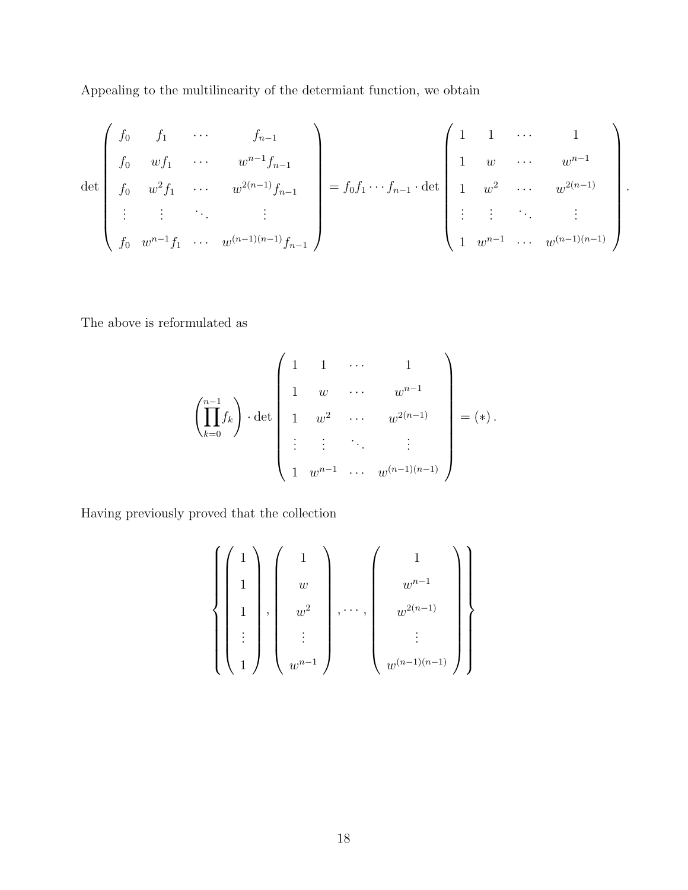Appealing to the multilinearity of the determiant function, we obtain

$$
\det\begin{pmatrix}\nf_0 & f_1 & \cdots & f_{n-1} \\
f_0 & wf_1 & \cdots & w^{n-1}f_{n-1} \\
f_0 & w^2f_1 & \cdots & w^{2(n-1)}f_{n-1} \\
\vdots & \vdots & \ddots & \vdots \\
f_0 & w^{n-1}f_1 & \cdots & w^{(n-1)(n-1)}f_{n-1}\n\end{pmatrix} = f_0f_1 \cdots f_{n-1} \cdot \det\begin{pmatrix}\n1 & 1 & \cdots & 1 \\
1 & w & \cdots & w^{n-1} \\
1 & w^2 & \cdots & w^{2(n-1)} \\
\vdots & \vdots & \ddots & \vdots \\
1 & w^{n-1} & \cdots & w^{(n-1)(n-1)}\n\end{pmatrix}.
$$

The above is reformulated as

$$
\left(\prod_{k=0}^{n-1} f_k\right) \cdot \det \left(\begin{array}{cccc} 1 & 1 & \cdots & 1 \\ 1 & w & \cdots & w^{n-1} \\ 1 & w^2 & \cdots & w^{2(n-1)} \\ \vdots & \vdots & \ddots & \vdots \\ 1 & w^{n-1} & \cdots & w^{(n-1)(n-1)} \end{array}\right) = (*).
$$

Having previously proved that the collection

$$
\left\{\left(\begin{array}{c}1\\1\\1\\ \vdots\\ 1\end{array}\right),\left(\begin{array}{c}1\\w\\w^2\\ \vdots\\ w^{n-1}\end{array}\right),\cdots,\left(\begin{array}{c}1\\w^{n-1}\\w^{2(n-1)}\\ \vdots\\ w^{(n-1)(n-1)}\end{array}\right)\right\}
$$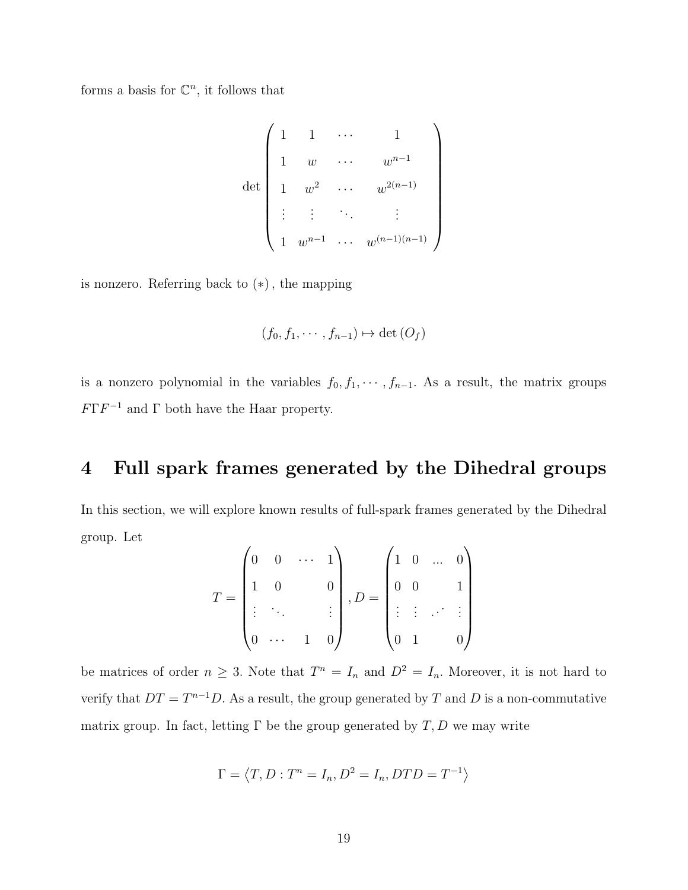forms a basis for  $\mathbb{C}^n$ , it follows that

$$
\det \left(\begin{array}{cccc} 1 & 1 & \cdots & 1 \\ 1 & w & \cdots & w^{n-1} \\ 1 & w^2 & \cdots & w^{2(n-1)} \\ \vdots & \vdots & \ddots & \vdots \\ 1 & w^{n-1} & \cdots & w^{(n-1)(n-1)} \end{array}\right)
$$

is nonzero. Referring back to (∗), the mapping

$$
(f_0, f_1, \cdots, f_{n-1}) \mapsto \det(O_f)
$$

is a nonzero polynomial in the variables  $f_0, f_1, \dots, f_{n-1}$ . As a result, the matrix groups  $F\Gamma F^{-1}$  and  $\Gamma$  both have the Haar property.

## 4 Full spark frames generated by the Dihedral groups

In this section, we will explore known results of full-spark frames generated by the Dihedral group. Let  $\overline{ }$ 

$$
T = \begin{pmatrix} 0 & 0 & \cdots & 1 \\ 1 & 0 & & 0 \\ \vdots & \ddots & & \vdots \\ 0 & \cdots & 1 & 0 \end{pmatrix}, D = \begin{pmatrix} 1 & 0 & \cdots & 0 \\ 0 & 0 & & 1 \\ \vdots & \vdots & \cdots & \vdots \\ 0 & 1 & & 0 \end{pmatrix}
$$

be matrices of order  $n \geq 3$ . Note that  $T^n = I_n$  and  $D^2 = I_n$ . Moreover, it is not hard to verify that  $DT = T^{n-1}D$ . As a result, the group generated by T and D is a non-commutative matrix group. In fact, letting  $\Gamma$  be the group generated by  $T, D$  we may write

$$
\Gamma = \langle T, D : T^n = I_n, D^2 = I_n, DTD = T^{-1} \rangle
$$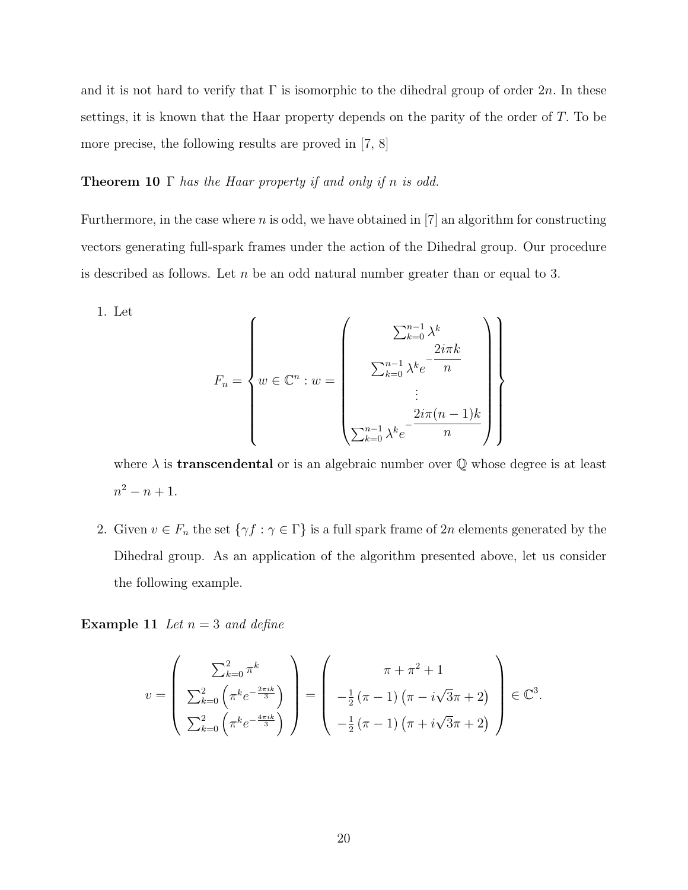and it is not hard to verify that  $\Gamma$  is isomorphic to the dihedral group of order  $2n$ . In these settings, it is known that the Haar property depends on the parity of the order of  $T$ . To be more precise, the following results are proved in [7, 8]

#### **Theorem 10**  $\Gamma$  has the Haar property if and only if n is odd.

Furthermore, in the case where  $n$  is odd, we have obtained in  $[7]$  an algorithm for constructing vectors generating full-spark frames under the action of the Dihedral group. Our procedure is described as follows. Let  $n$  be an odd natural number greater than or equal to 3.

$$
F_n = \left\{ w \in \mathbb{C}^n : w = \begin{pmatrix} \sum_{k=0}^{n-1} \lambda^k \\ \sum_{k=0}^{n-1} \lambda^k e^{-\frac{2i\pi k}{n}} \\ \vdots \\ \sum_{k=0}^{n-1} \lambda^k e^{-\frac{2i\pi (n-1)k}{n}} \end{pmatrix} \right\}
$$

where  $\lambda$  is **transcendental** or is an algebraic number over  $\mathbb Q$  whose degree is at least  $n^2 - n + 1$ .

2. Given  $v \in F_n$  the set  $\{\gamma f : \gamma \in \Gamma\}$  is a full spark frame of 2n elements generated by the Dihedral group. As an application of the algorithm presented above, let us consider the following example.

**Example 11** Let  $n = 3$  and define

1. Let

$$
v = \begin{pmatrix} \sum_{k=0}^{2} \pi^{k} \\ \sum_{k=0}^{2} \left( \pi^{k} e^{-\frac{2\pi i k}{3}} \right) \\ \sum_{k=0}^{2} \left( \pi^{k} e^{-\frac{4\pi i k}{3}} \right) \end{pmatrix} = \begin{pmatrix} \pi + \pi^{2} + 1 \\ -\frac{1}{2} \left( \pi - 1 \right) \left( \pi - i \sqrt{3} \pi + 2 \right) \\ -\frac{1}{2} \left( \pi - 1 \right) \left( \pi + i \sqrt{3} \pi + 2 \right) \end{pmatrix} \in \mathbb{C}^{3}.
$$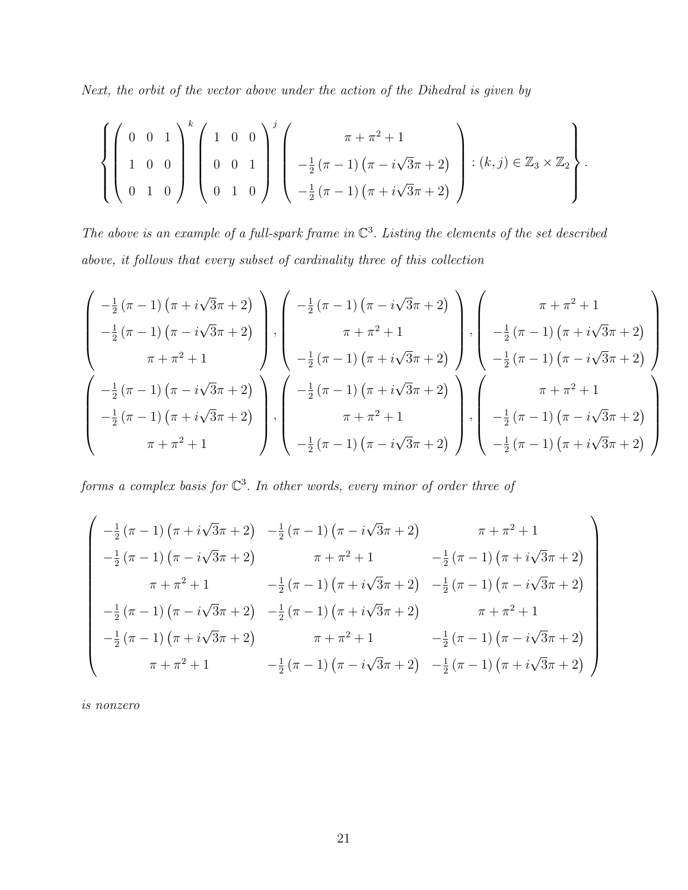Next, the orbit of the vector above under the action of the Dihedral is given by

$$
\left\{\left(\begin{array}{ccc} 0 & 0 & 1 \\ 1 & 0 & 0 \\ 0 & 1 & 0 \end{array}\right)^k \left(\begin{array}{ccc} 1 & 0 & 0 \\ 0 & 0 & 1 \\ 0 & 1 & 0 \end{array}\right)^j \left(\begin{array}{c} \pi + \pi^2 + 1 \\ -\frac{1}{2}(\pi - 1)(\pi - i\sqrt{3}\pi + 2) \\ -\frac{1}{2}(\pi - 1)(\pi + i\sqrt{3}\pi + 2) \end{array}\right) : (k, j) \in \mathbb{Z}_3 \times \mathbb{Z}_2\right\}
$$

.

The above is an example of a full-spark frame in  $\mathbb{C}^3$ . Listing the elements of the set described above, it follows that every subset of cardinality three of this collection

$$
\begin{pmatrix}\n-\frac{1}{2}(\pi - 1) (\pi + i\sqrt{3}\pi + 2) \\
-\frac{1}{2}(\pi - 1) (\pi - i\sqrt{3}\pi + 2) \\
\pi + \pi^2 + 1\n\end{pmatrix}, \begin{pmatrix}\n-\frac{1}{2}(\pi - 1) (\pi - i\sqrt{3}\pi + 2) \\
\pi + \pi^2 + 1\n\end{pmatrix}, \begin{pmatrix}\n\pi + \pi^2 + 1 \\
-\frac{1}{2}(\pi - 1) (\pi + i\sqrt{3}\pi + 2) \\
-\frac{1}{2}(\pi - 1) (\pi - i\sqrt{3}\pi + 2)\n\end{pmatrix}, \begin{pmatrix}\n\pi + \pi^2 + 1 \\
-\frac{1}{2}(\pi - 1) (\pi + i\sqrt{3}\pi + 2) \\
-\frac{1}{2}(\pi - 1) (\pi - i\sqrt{3}\pi + 2) \\
\pi + \pi^2 + 1\n\end{pmatrix}, \begin{pmatrix}\n\pi + \pi^2 + 1 \\
-\frac{1}{2}(\pi - 1) (\pi - i\sqrt{3}\pi + 2) \\
\pi + \pi^2 + 1\n\end{pmatrix}, \begin{pmatrix}\n\pi + \pi^2 + 1 \\
-\frac{1}{2}(\pi - 1) (\pi - i\sqrt{3}\pi + 2) \\
-\frac{1}{2}(\pi - 1) (\pi - i\sqrt{3}\pi + 2)\n\end{pmatrix}
$$

forms a complex basis for  $\mathbb{C}^3$ . In other words, every minor of order three of

$$
\begin{pmatrix}\n-\frac{1}{2}(\pi - 1)(\pi + i\sqrt{3}\pi + 2) & -\frac{1}{2}(\pi - 1)(\pi - i\sqrt{3}\pi + 2) & \pi + \pi^2 + 1 \\
-\frac{1}{2}(\pi - 1)(\pi - i\sqrt{3}\pi + 2) & \pi + \pi^2 + 1 & -\frac{1}{2}(\pi - 1)(\pi + i\sqrt{3}\pi + 2) \\
\pi + \pi^2 + 1 & -\frac{1}{2}(\pi - 1)(\pi + i\sqrt{3}\pi + 2) & -\frac{1}{2}(\pi - 1)(\pi - i\sqrt{3}\pi + 2) \\
-\frac{1}{2}(\pi - 1)(\pi - i\sqrt{3}\pi + 2) & -\frac{1}{2}(\pi - 1)(\pi + i\sqrt{3}\pi + 2) & \pi + \pi^2 + 1 \\
-\frac{1}{2}(\pi - 1)(\pi + i\sqrt{3}\pi + 2) & \pi + \pi^2 + 1 & -\frac{1}{2}(\pi - 1)(\pi - i\sqrt{3}\pi + 2) \\
\pi + \pi^2 + 1 & -\frac{1}{2}(\pi - 1)(\pi - i\sqrt{3}\pi + 2) & -\frac{1}{2}(\pi - 1)(\pi + i\sqrt{3}\pi + 2)\n\end{pmatrix}
$$

is nonzero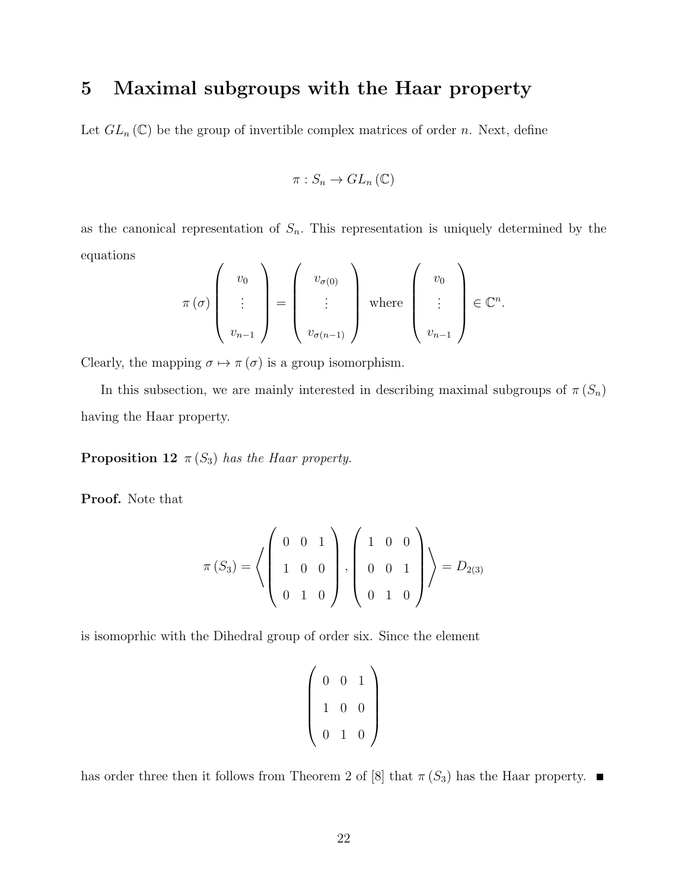## 5 Maximal subgroups with the Haar property

Let  $GL_n(\mathbb{C})$  be the group of invertible complex matrices of order n. Next, define

$$
\pi: S_n \to GL_n\left(\mathbb{C}\right)
$$

as the canonical representation of  $S_n$ . This representation is uniquely determined by the equations

$$
\pi(\sigma) \left( \begin{array}{c} v_0 \\ \vdots \\ v_{n-1} \end{array} \right) = \left( \begin{array}{c} v_{\sigma(0)} \\ \vdots \\ v_{\sigma(n-1)} \end{array} \right) \text{ where } \left( \begin{array}{c} v_0 \\ \vdots \\ v_{n-1} \end{array} \right) \in \mathbb{C}^n.
$$

Clearly, the mapping  $\sigma \mapsto \pi(\sigma)$  is a group isomorphism.

In this subsection, we are mainly interested in describing maximal subgroups of  $\pi(S_n)$ having the Haar property.

**Proposition 12**  $\pi(S_3)$  has the Haar property.

Proof. Note that

$$
\pi(S_3) = \left\langle \left( \begin{array}{rrr} 0 & 0 & 1 \\ 1 & 0 & 0 \\ 0 & 1 & 0 \end{array} \right), \left( \begin{array}{rrr} 1 & 0 & 0 \\ 0 & 0 & 1 \\ 0 & 1 & 0 \end{array} \right) \right\rangle = D_{2(3)}
$$

is isomoprhic with the Dihedral group of order six. Since the element

$$
\left(\begin{array}{ccc} 0 & 0 & 1 \\ 1 & 0 & 0 \\ 0 & 1 & 0 \end{array}\right)
$$

has order three then it follows from Theorem 2 of [8] that  $\pi(S_3)$  has the Haar property.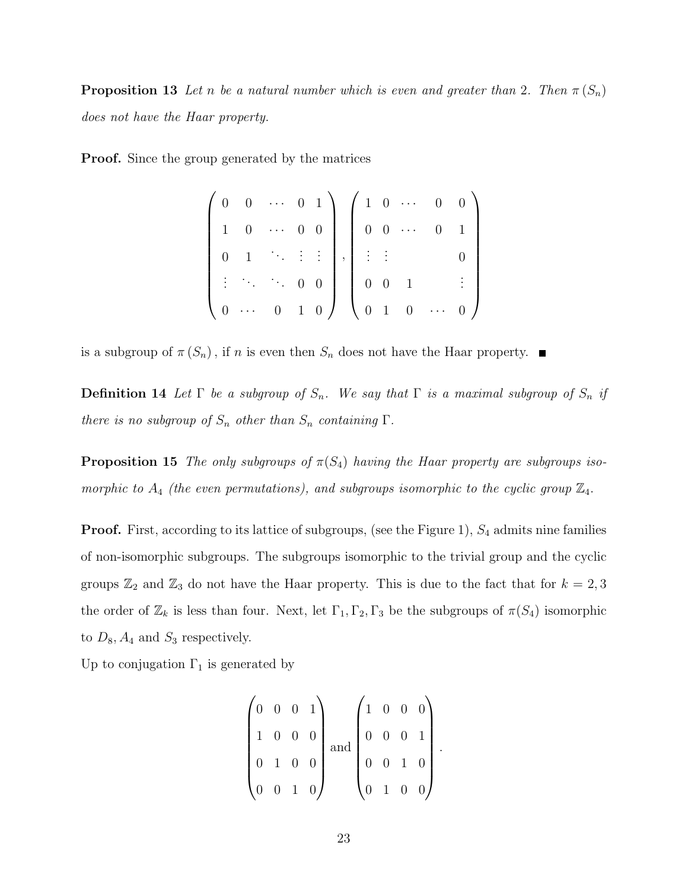**Proposition 13** Let n be a natural number which is even and greater than 2. Then  $\pi(S_n)$ does not have the Haar property.

**Proof.** Since the group generated by the matrices

$$
\left(\begin{array}{cccccc} 0 & 0 & \cdots & 0 & 1 \\ 1 & 0 & \cdots & 0 & 0 \\ 0 & 1 & \ddots & \vdots & \vdots \\ \vdots & \ddots & \ddots & 0 & 0 \\ 0 & \cdots & 0 & 1 & 0 \end{array}\right), \left(\begin{array}{cccccc} 1 & 0 & \cdots & 0 & 0 \\ 0 & 0 & \cdots & 0 & 1 \\ \vdots & \vdots & & & 0 \\ 0 & 0 & 1 & & \vdots \\ 0 & 1 & 0 & \cdots & 0 \end{array}\right)
$$

is a subgroup of  $\pi(S_n)$ , if n is even then  $S_n$  does not have the Haar property.

**Definition 14** Let  $\Gamma$  be a subgroup of  $S_n$ . We say that  $\Gamma$  is a maximal subgroup of  $S_n$  if there is no subgroup of  $S_n$  other than  $S_n$  containing  $\Gamma$ .

**Proposition 15** The only subgroups of  $\pi(S_4)$  having the Haar property are subgroups isomorphic to  $A_4$  (the even permutations), and subgroups isomorphic to the cyclic group  $\mathbb{Z}_4$ .

**Proof.** First, according to its lattice of subgroups, (see the Figure 1),  $S_4$  admits nine families of non-isomorphic subgroups. The subgroups isomorphic to the trivial group and the cyclic groups  $\mathbb{Z}_2$  and  $\mathbb{Z}_3$  do not have the Haar property. This is due to the fact that for  $k = 2, 3$ the order of  $\mathbb{Z}_k$  is less than four. Next, let  $\Gamma_1, \Gamma_2, \Gamma_3$  be the subgroups of  $\pi(S_4)$  isomorphic to  $D_8$ ,  $A_4$  and  $S_3$  respectively.

Up to conjugation  $\Gamma_1$  is generated by

$$
\begin{pmatrix} 0 & 0 & 0 & 1 \ 1 & 0 & 0 & 0 \ 0 & 1 & 0 & 0 \ 0 & 0 & 1 & 0 \ 0 & 0 & 1 & 0 \ \end{pmatrix} \text{ and } \begin{pmatrix} 1 & 0 & 0 & 0 \ 0 & 0 & 0 & 1 \ 0 & 0 & 1 & 0 \ 0 & 1 & 0 & 0 \ \end{pmatrix}.
$$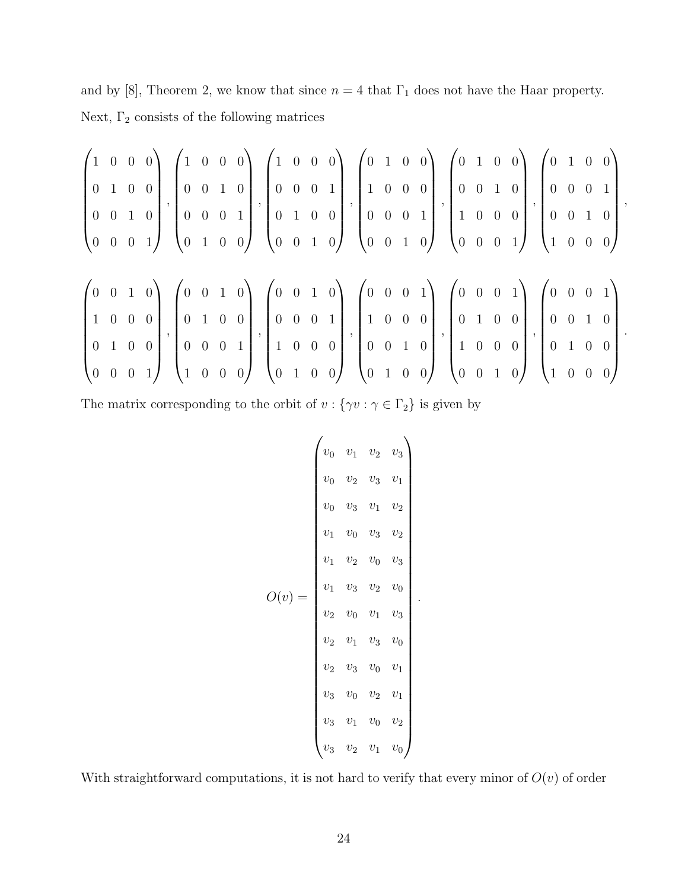and by [8], Theorem 2, we know that since  $n = 4$  that  $\Gamma_1$  does not have the Haar property. Next,  $\Gamma_2$  consists of the following matrices

$$
\begin{pmatrix}\n1 & 0 & 0 & 0 \\
0 & 1 & 0 & 0 \\
0 & 0 & 1 & 0 \\
0 & 0 & 0 & 1\n\end{pmatrix}, \begin{pmatrix}\n1 & 0 & 0 & 0 \\
0 & 0 & 1 & 0 \\
0 & 0 & 0 & 1 \\
0 & 1 & 0 & 0\n\end{pmatrix}, \begin{pmatrix}\n1 & 0 & 0 & 0 \\
0 & 0 & 0 & 1 \\
0 & 1 & 0 & 0 \\
0 & 0 & 1 & 0\n\end{pmatrix}, \begin{pmatrix}\n0 & 1 & 0 & 0 \\
1 & 0 & 0 & 0 \\
0 & 0 & 0 & 1 \\
0 & 0 & 1 & 0\n\end{pmatrix}, \begin{pmatrix}\n0 & 1 & 0 & 0 \\
0 & 0 & 0 & 1 \\
0 & 0 & 0 & 1 \\
0 & 0 & 0 & 1\n\end{pmatrix}, \begin{pmatrix}\n0 & 1 & 0 & 0 \\
0 & 0 & 0 & 1 \\
0 & 0 & 0 & 1 \\
0 & 0 & 0 & 1\n\end{pmatrix}, \begin{pmatrix}\n0 & 0 & 1 & 0 \\
0 & 0 & 0 & 1 \\
0 & 0 & 0 & 1 \\
1 & 0 & 0 & 0\n\end{pmatrix}, \begin{pmatrix}\n0 & 0 & 0 & 1 \\
0 & 0 & 0 & 1 \\
1 & 0 & 0 & 0 \\
0 & 0 & 0 & 1\n\end{pmatrix}, \begin{pmatrix}\n0 & 0 & 0 & 1 \\
1 & 0 & 0 & 0 \\
0 & 0 & 1 & 0 \\
0 & 0 & 1 & 0\n\end{pmatrix}, \begin{pmatrix}\n0 & 0 & 0 & 1 \\
0 & 0 & 0 & 1 \\
1 & 0 & 0 & 0 \\
0 & 0 & 1 & 0\n\end{pmatrix}, \begin{pmatrix}\n0 & 0 & 0 & 1 \\
0 & 1 & 0 & 0 \\
1 & 0 & 0 & 0 \\
0 & 0 & 1 & 0\n\end{pmatrix}.
$$

The matrix corresponding to the orbit of  $v$  :  $\{\gamma v : \gamma \in \Gamma_2\}$  is given by

$$
O(v) = \begin{pmatrix} v_0 & v_1 & v_2 & v_3 \ v_0 & v_2 & v_3 & v_1 \ v_0 & v_3 & v_1 & v_2 \ v_1 & v_0 & v_3 & v_2 \ v_1 & v_2 & v_0 & v_3 \ v_1 & v_3 & v_2 & v_0 \ v_2 & v_0 & v_1 & v_3 \ v_2 & v_1 & v_3 & v_0 \ v_2 & v_3 & v_0 & v_1 \ v_3 & v_0 & v_2 & v_1 \ v_3 & v_1 & v_0 & v_2 \ v_3 & v_1 & v_0 & v_2 \ v_3 & v_2 & v_1 & v_0 \end{pmatrix}.
$$

With straightforward computations, it is not hard to verify that every minor of  $O(v)$  of order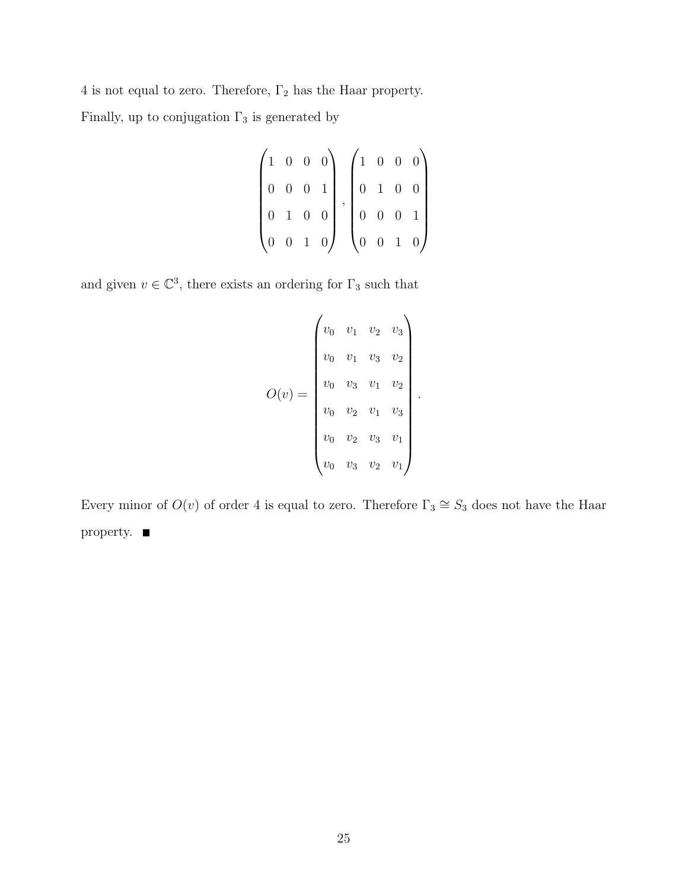$4$  is not equal to zero. Therefore,  $\Gamma_2$  has the Haar property.

Finally, up to conjugation  $\Gamma_3$  is generated by

|  |  | $\begin{pmatrix} 1 & 0 & 0 & 0 \end{pmatrix}$ |  | $\begin{pmatrix} 1 & 0 & 0 & 0 \end{pmatrix}$ |  |                                               |
|--|--|-----------------------------------------------|--|-----------------------------------------------|--|-----------------------------------------------|
|  |  | $0 \t 0 \t 0 \t 1$                            |  | $\begin{pmatrix} 0 & 1 & 0 & 0 \end{pmatrix}$ |  |                                               |
|  |  | $0 \quad 1 \quad 0 \quad 0$                   |  | $\begin{bmatrix} 0 & 0 & 0 & 1 \end{bmatrix}$ |  |                                               |
|  |  | $\begin{pmatrix} 0 & 0 & 1 & 0 \end{pmatrix}$ |  |                                               |  | $\begin{pmatrix} 0 & 0 & 1 & 0 \end{pmatrix}$ |

and given  $v \in \mathbb{C}^3$ , there exists an ordering for  $\Gamma_3$  such that

$$
O(v) = \begin{pmatrix} v_0 & v_1 & v_2 & v_3 \ v_0 & v_1 & v_3 & v_2 \ v_0 & v_3 & v_1 & v_2 \ v_0 & v_2 & v_1 & v_3 \ v_0 & v_2 & v_3 & v_1 \ v_0 & v_3 & v_2 & v_1 \end{pmatrix}
$$

.

Every minor of  $O(v)$  of order 4 is equal to zero. Therefore  $\Gamma_3 \cong S_3$  does not have the Haar property.  $\blacksquare$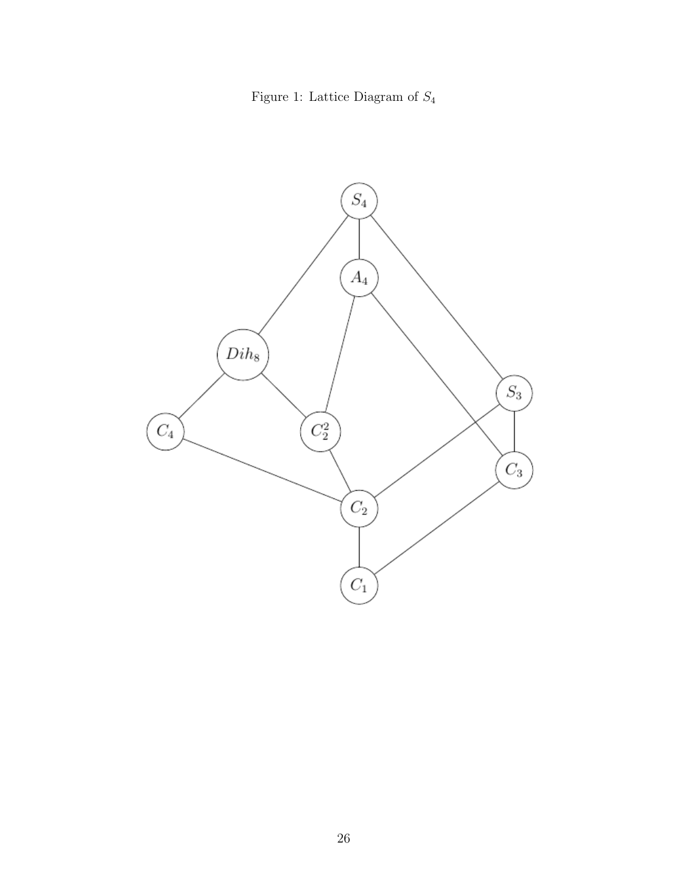Figure 1: Lattice Diagram of  $\mathcal{S}_4$ 

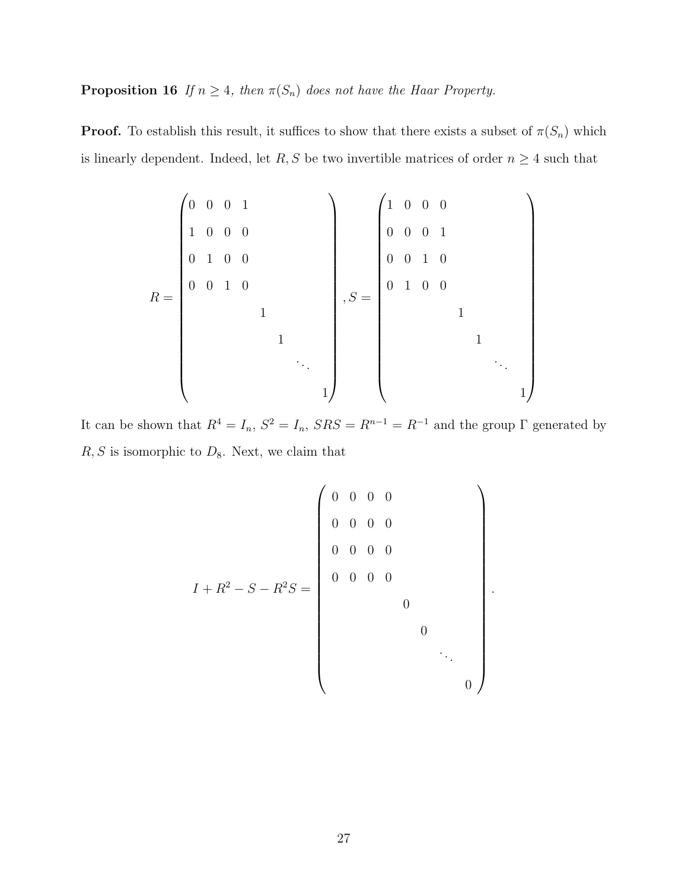**Proposition 16** If  $n \geq 4$ , then  $\pi(S_n)$  does not have the Haar Property.

**Proof.** To establish this result, it suffices to show that there exists a subset of  $\pi(S_n)$  which is linearly dependent. Indeed, let  $R, S$  be two invertible matrices of order  $n \geq 4$  such that

$$
R = \begin{pmatrix} 0 & 0 & 0 & 1 \\ 1 & 0 & 0 & 0 \\ 0 & 1 & 0 & 0 \\ 0 & 0 & 1 & 0 \\ & & & 1 \\ & & & & 1 \\ & & & & & 1 \end{pmatrix}, S = \begin{pmatrix} 1 & 0 & 0 & 0 \\ 0 & 0 & 0 & 1 \\ 0 & 0 & 1 & 0 \\ 0 & 1 & 0 & 0 \\ & & & & 1 \\ & & & & & 1 \\ & & & & & & \ddots \\ & & & & & & & 1 \end{pmatrix}
$$

It can be shown that  $R^4 = I_n$ ,  $S^2 = I_n$ ,  $SRS = R^{n-1} = R^{-1}$  and the group  $\Gamma$  generated by  $R, S$  is isomorphic to  $D_8$ . Next, we claim that

$$
I + R^{2} - S - R^{2}S = \begin{pmatrix} 0 & 0 & 0 & 0 \\ 0 & 0 & 0 & 0 \\ 0 & 0 & 0 & 0 \\ 0 & 0 & 0 & 0 \\ 0 & 0 & 0 & 0 \\ 0 & 0 & 0 & \ddots \\ 0 & 0 & 0 & \ddots \end{pmatrix}.
$$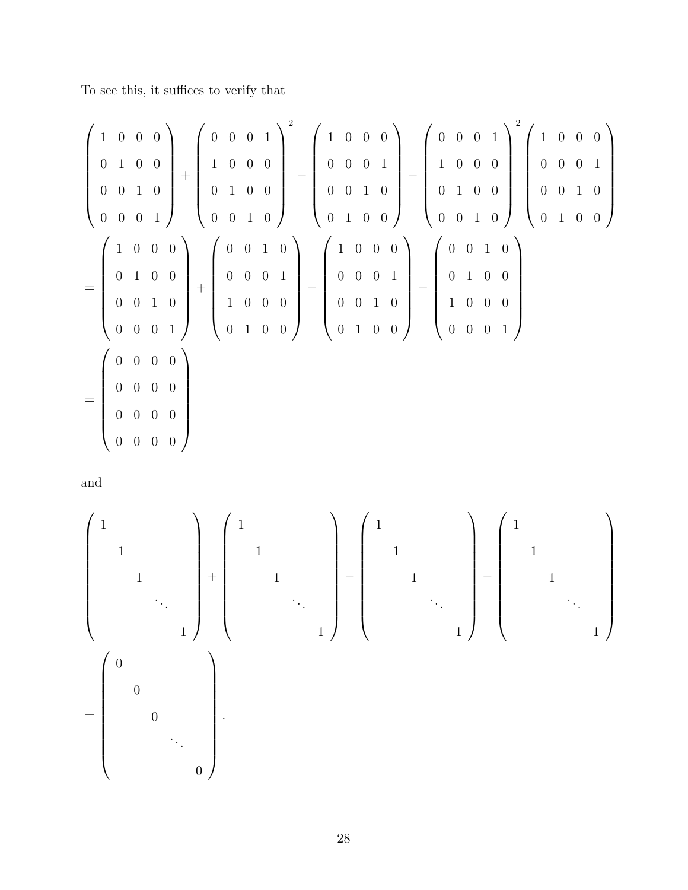To see this, it suffices to verify that

$$
\begin{pmatrix}\n1 & 0 & 0 & 0 \\
0 & 1 & 0 & 0 \\
0 & 0 & 1 & 0 \\
0 & 0 & 0 & 1\n\end{pmatrix} + \begin{pmatrix}\n0 & 0 & 0 & 1 \\
1 & 0 & 0 & 0 \\
0 & 1 & 0 & 0 \\
0 & 0 & 1 & 0\n\end{pmatrix} - \begin{pmatrix}\n1 & 0 & 0 & 0 \\
0 & 0 & 0 & 1 \\
0 & 0 & 1 & 0 \\
0 & 1 & 0 & 0 \\
0 & 1 & 0 & 0\n\end{pmatrix} - \begin{pmatrix}\n0 & 0 & 0 & 1 \\
1 & 0 & 0 & 0 \\
0 & 1 & 0 & 0 \\
0 & 0 & 1 & 0\n\end{pmatrix} \begin{pmatrix}\n1 & 0 & 0 & 0 \\
0 & 0 & 0 & 1 \\
0 & 1 & 0 & 0 \\
0 & 0 & 1 & 0\n\end{pmatrix}
$$
  
= 
$$
\begin{pmatrix}\n1 & 0 & 0 & 0 \\
0 & 1 & 0 & 0 \\
0 & 0 & 0 & 1 \\
0 & 0 & 0 & 1\n\end{pmatrix} + \begin{pmatrix}\n0 & 0 & 1 & 0 \\
0 & 0 & 0 & 1 \\
1 & 0 & 0 & 0 \\
0 & 1 & 0 & 0\n\end{pmatrix} - \begin{pmatrix}\n1 & 0 & 0 & 0 \\
0 & 0 & 0 & 1 \\
0 & 0 & 1 & 0 \\
0 & 1 & 0 & 0\n\end{pmatrix} - \begin{pmatrix}\n0 & 0 & 1 & 0 \\
0 & 1 & 0 & 0 \\
1 & 0 & 0 & 0 \\
0 & 0 & 0 & 1\n\end{pmatrix}
$$
  
= 
$$
\begin{pmatrix}\n0 & 0 & 0 & 0 \\
0 & 0 & 0 & 0 \\
0 & 0 & 0 & 0 \\
0 & 0 & 0 & 0\n\end{pmatrix}
$$

and

 1 1 1 . . . 1 + 1 1 1 . . . 1 − 1 1 1 . . . 1 − 1 1 1 . . . 1 = 0 0 0 . . . 0 .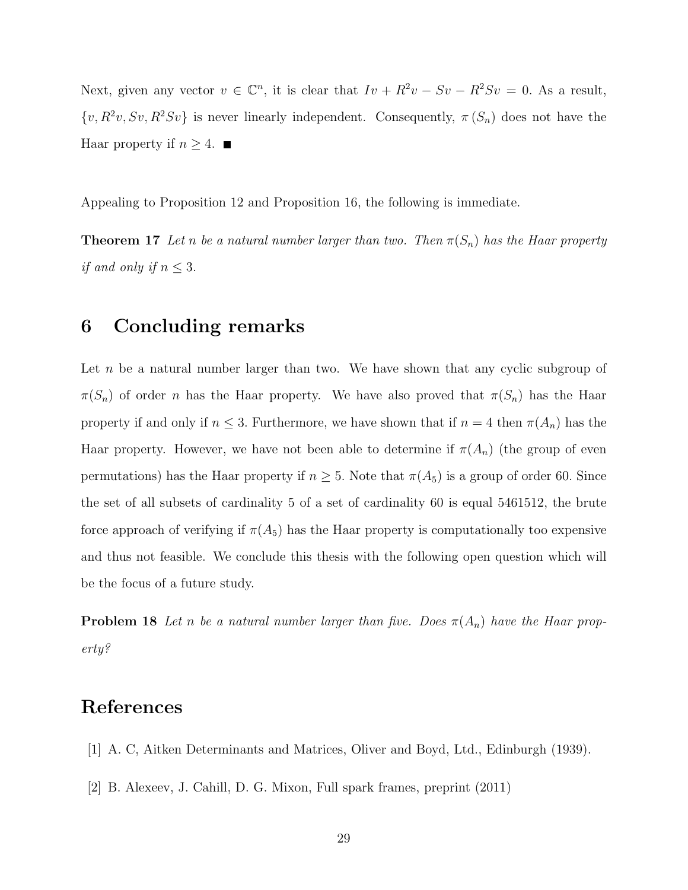Next, given any vector  $v \in \mathbb{C}^n$ , it is clear that  $Iv + R^2v - Sv - R^2Sv = 0$ . As a result,  $\{v, R^2v, Sv, R^2Sv\}$  is never linearly independent. Consequently,  $\pi(S_n)$  does not have the Haar property if  $n \geq 4$ .

Appealing to Proposition 12 and Proposition 16, the following is immediate.

**Theorem 17** Let n be a natural number larger than two. Then  $\pi(S_n)$  has the Haar property if and only if  $n \leq 3$ .

#### 6 Concluding remarks

Let n be a natural number larger than two. We have shown that any cyclic subgroup of  $\pi(S_n)$  of order n has the Haar property. We have also proved that  $\pi(S_n)$  has the Haar property if and only if  $n \leq 3$ . Furthermore, we have shown that if  $n = 4$  then  $\pi(A_n)$  has the Haar property. However, we have not been able to determine if  $\pi(A_n)$  (the group of even permutations) has the Haar property if  $n \geq 5$ . Note that  $\pi(A_5)$  is a group of order 60. Since the set of all subsets of cardinality 5 of a set of cardinality 60 is equal 5461512, the brute force approach of verifying if  $\pi(A_5)$  has the Haar property is computationally too expensive and thus not feasible. We conclude this thesis with the following open question which will be the focus of a future study.

**Problem 18** Let n be a natural number larger than five. Does  $\pi(A_n)$  have the Haar property?

### References

- [1] A. C, Aitken Determinants and Matrices, Oliver and Boyd, Ltd., Edinburgh (1939).
- [2] B. Alexeev, J. Cahill, D. G. Mixon, Full spark frames, preprint (2011)